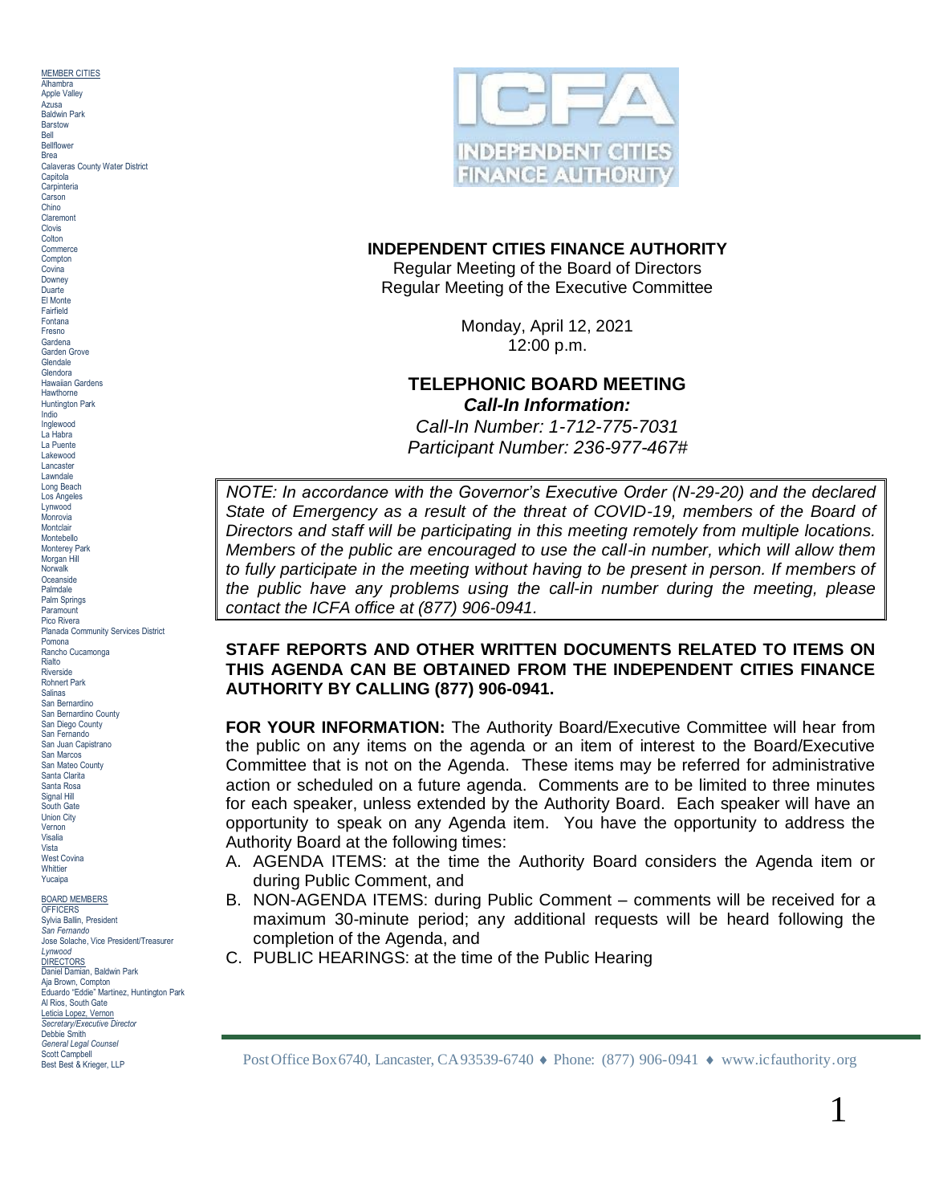MEMBER CITIES **Alhambra** Apple Valley Azusa Baldwin Park **Barstow** Bell Bellflower Brea Calaveras County Water District **Capitola Carpinteria** Carson Chino Claremont Clovis Colton<br>Commerce Compton<br>Covina Downey<br>Duarte El Monte Fairfield Fontana<br>Fresno Garden Grove **Glendale** Glendora Hawaiian Gardens<br>Hawthorne Indio<br>Inglewood La Habra<br>La Puente Lakewood Lancaster Lawndale Long Beach Los Angeles Lynwood Monrovia **Montclair** Montebello Monterey Park Morgan Hill **Norwalk Oceanside** Palmdale Palm Springs **Paramount** Pico Rivera Planada Community Services District Rancho Cucamonga Rialto **Riverside** Rohnert Park Salinas San Bernardino San Bernardino County San Diego County San Fernando San Juan Capistrano San Marcos San Mateo County Santa Clarita Santa Rosa Signal Hill South Gate Union City Vernon Visalia Vista West Covina Whittier Yucaipa BOARD MEMBERS

**OFFICERS** Sylvia Ballin, President *San Fernando* Jose Solache, Vice President/Treasurer *Lynwood* DIRECTORS<br>Daniel Damian, Baldwin Park Aja Brown, Compton Eduardo "Eddie" Martinez, Huntington Park Al Rios, South Gate Leticia Lopez, Vernon *Secretary/Executive Director* Debbie Smith *General Legal Counsel* Scott Campbell<br>Best Best & Krieger, LLP



## **INDEPENDENT CITIES FINANCE AUTHORITY**

Regular Meeting of the Board of Directors Regular Meeting of the Executive Committee

Fontana  $\overline{F}_{\text{Coulana}}$  Monday, April 12, 2021  $\overline{F}_{\text{Coulana}}$ 12:00 p.m.

## Hawthorne **Hawthorne**<br>Hawthorne **Hawthorne**<br>Huntington Park<br>Huntington Park **Call-In Information:**

*Call-In Number: 1-712-775-7031* Inglewood **Participant Number: 236-977-467#** 

*NOTE: In accordance with the Governor's Executive Order (N-29-20) and the declared State of Emergency as a result of the threat of COVID-19, members of the Board of Directors and staff will be participating in this meeting remotely from multiple locations. Members of the public are encouraged to use the call-in number, which will allow them to fully participate in the meeting without having to be present in person. If members of the public have any problems using the call-in number during the meeting, please contact the ICFA office at (877) 906-0941.*

# STAFF REPORTS AND OTHER WRITTEN DOCUMENTS RELATED TO ITEMS ON **THIS AGENDA CAN BE OBTAINED FROM THE INDEPENDENT CITIES FINANCE AUTHORITY BY CALLING (877) 906-0941.**

**FOR YOUR INFORMATION:** The Authority Board/Executive Committee will hear from the public on any items on the agenda or an item of interest to the Board/Executive Committee that is not on the Agenda. These items may be referred for administrative action or scheduled on a future agenda. Comments are to be limited to three minutes for each speaker, unless extended by the Authority Board. Each speaker will have an opportunity to speak on any Agenda item. You have the opportunity to address the Authority Board at the following times:

- A. AGENDA ITEMS: at the time the Authority Board considers the Agenda item or during Public Comment, and
- B. NON-AGENDA ITEMS: during Public Comment comments will be received for a maximum 30-minute period; any additional requests will be heard following the completion of the Agenda, and
- C. PUBLIC HEARINGS: at the time of the Public Hearing

Post Office Box 6740, Lancaster, CA93539-6740 ♦ Phone: (877) 906-0941 ♦ www.icfauthority.org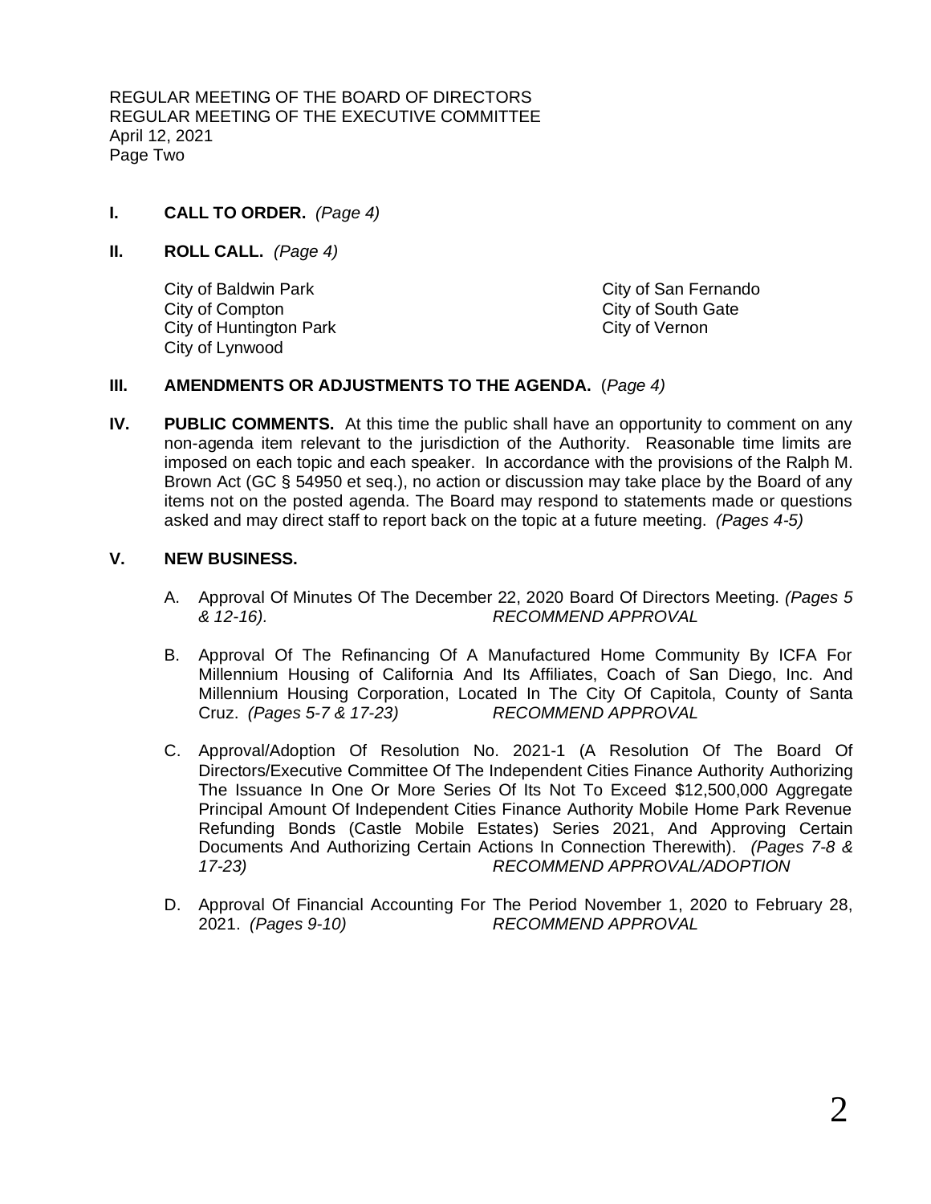REGULAR MEETING OF THE BOARD OF DIRECTORS REGULAR MEETING OF THE EXECUTIVE COMMITTEE April 12, 2021 Page Two

- **I. CALL TO ORDER.** *(Page 4)*
- **II. ROLL CALL.** *(Page 4)*

City of Baldwin Park City of San Fernando City of Compton City of South Gate City of Huntington Park City of Vernon City of Lynwood

## **III. AMENDMENTS OR ADJUSTMENTS TO THE AGENDA.** (*Page 4)*

**IV. PUBLIC COMMENTS.** At this time the public shall have an opportunity to comment on any non-agenda item relevant to the jurisdiction of the Authority. Reasonable time limits are imposed on each topic and each speaker. In accordance with the provisions of the Ralph M. Brown Act (GC § 54950 et seq.), no action or discussion may take place by the Board of any items not on the posted agenda. The Board may respond to statements made or questions asked and may direct staff to report back on the topic at a future meeting. *(Pages 4-5)*

## **V. NEW BUSINESS.**

- A. Approval Of Minutes Of The December 22, 2020 Board Of Directors Meeting. *(Pages 5 & 12-16). RECOMMEND APPROVAL*
- B. Approval Of The Refinancing Of A Manufactured Home Community By ICFA For Millennium Housing of California And Its Affiliates, Coach of San Diego, Inc. And Millennium Housing Corporation, Located In The City Of Capitola, County of Santa Cruz. *(Pages 5-7 & 17-23) RECOMMEND APPROVAL*
- C. Approval/Adoption Of Resolution No. 2021-1 (A Resolution Of The Board Of Directors/Executive Committee Of The Independent Cities Finance Authority Authorizing The Issuance In One Or More Series Of Its Not To Exceed \$12,500,000 Aggregate Principal Amount Of Independent Cities Finance Authority Mobile Home Park Revenue Refunding Bonds (Castle Mobile Estates) Series 2021, And Approving Certain Documents And Authorizing Certain Actions In Connection Therewith). *(Pages 7-8 & 17-23) RECOMMEND APPROVAL/ADOPTION*
- D. Approval Of Financial Accounting For The Period November 1, 2020 to February 28, 2021. *(Pages 9-10) RECOMMEND APPROVAL*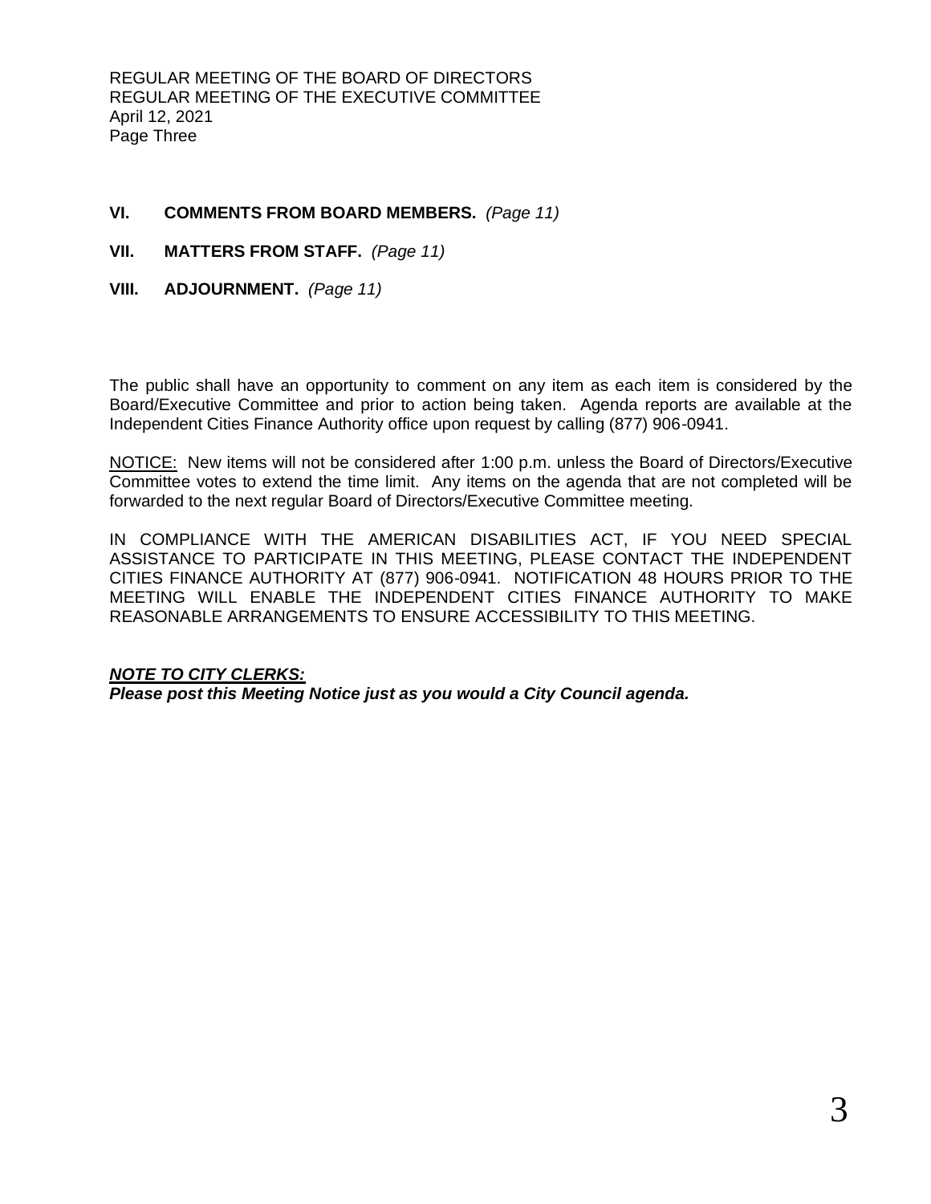REGULAR MEETING OF THE BOARD OF DIRECTORS REGULAR MEETING OF THE EXECUTIVE COMMITTEE April 12, 2021 Page Three

# **VI. COMMENTS FROM BOARD MEMBERS.** *(Page 11)*

- **VII. MATTERS FROM STAFF.** *(Page 11)*
- **VIII. ADJOURNMENT.** *(Page 11)*

The public shall have an opportunity to comment on any item as each item is considered by the Board/Executive Committee and prior to action being taken. Agenda reports are available at the Independent Cities Finance Authority office upon request by calling (877) 906-0941.

NOTICE: New items will not be considered after 1:00 p.m. unless the Board of Directors/Executive Committee votes to extend the time limit. Any items on the agenda that are not completed will be forwarded to the next regular Board of Directors/Executive Committee meeting.

IN COMPLIANCE WITH THE AMERICAN DISABILITIES ACT, IF YOU NEED SPECIAL ASSISTANCE TO PARTICIPATE IN THIS MEETING, PLEASE CONTACT THE INDEPENDENT CITIES FINANCE AUTHORITY AT (877) 906-0941. NOTIFICATION 48 HOURS PRIOR TO THE MEETING WILL ENABLE THE INDEPENDENT CITIES FINANCE AUTHORITY TO MAKE REASONABLE ARRANGEMENTS TO ENSURE ACCESSIBILITY TO THIS MEETING.

# *NOTE TO CITY CLERKS:*

*Please post this Meeting Notice just as you would a City Council agenda.*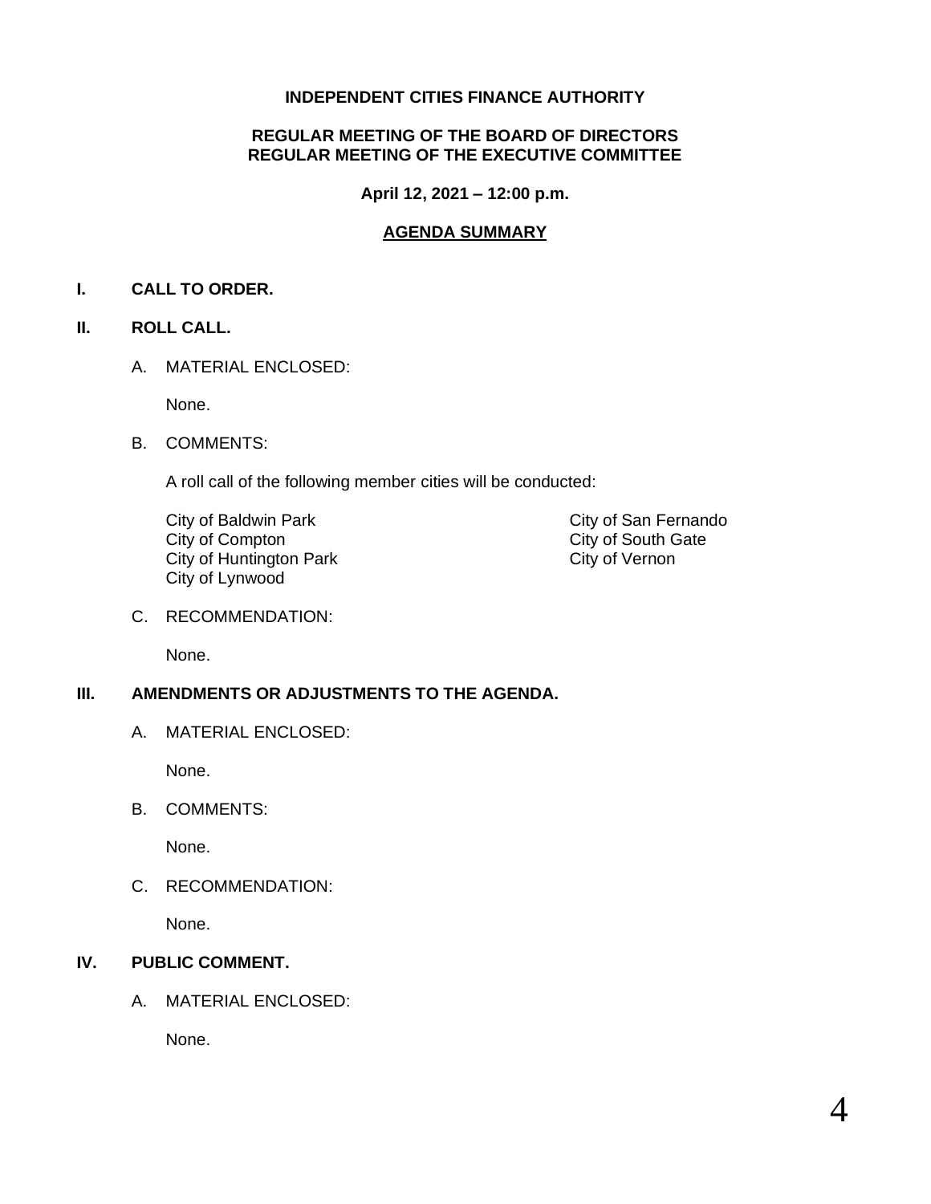# **INDEPENDENT CITIES FINANCE AUTHORITY**

# **REGULAR MEETING OF THE BOARD OF DIRECTORS REGULAR MEETING OF THE EXECUTIVE COMMITTEE**

**April 12, 2021 – 12:00 p.m.**

# **AGENDA SUMMARY**

# **I. CALL TO ORDER.**

# **II. ROLL CALL.**

A. MATERIAL ENCLOSED:

None.

B. COMMENTS:

A roll call of the following member cities will be conducted:

City of Baldwin Park City of San Fernando<br>
City of Compton City of South Gate City of Huntington Park City of Vernon City of Lynwood

City of South Gate

C. RECOMMENDATION:

None.

# **III. AMENDMENTS OR ADJUSTMENTS TO THE AGENDA.**

A. MATERIAL ENCLOSED:

None.

B. COMMENTS:

None.

C. RECOMMENDATION:

None.

# **IV. PUBLIC COMMENT.**

A. MATERIAL ENCLOSED:

None.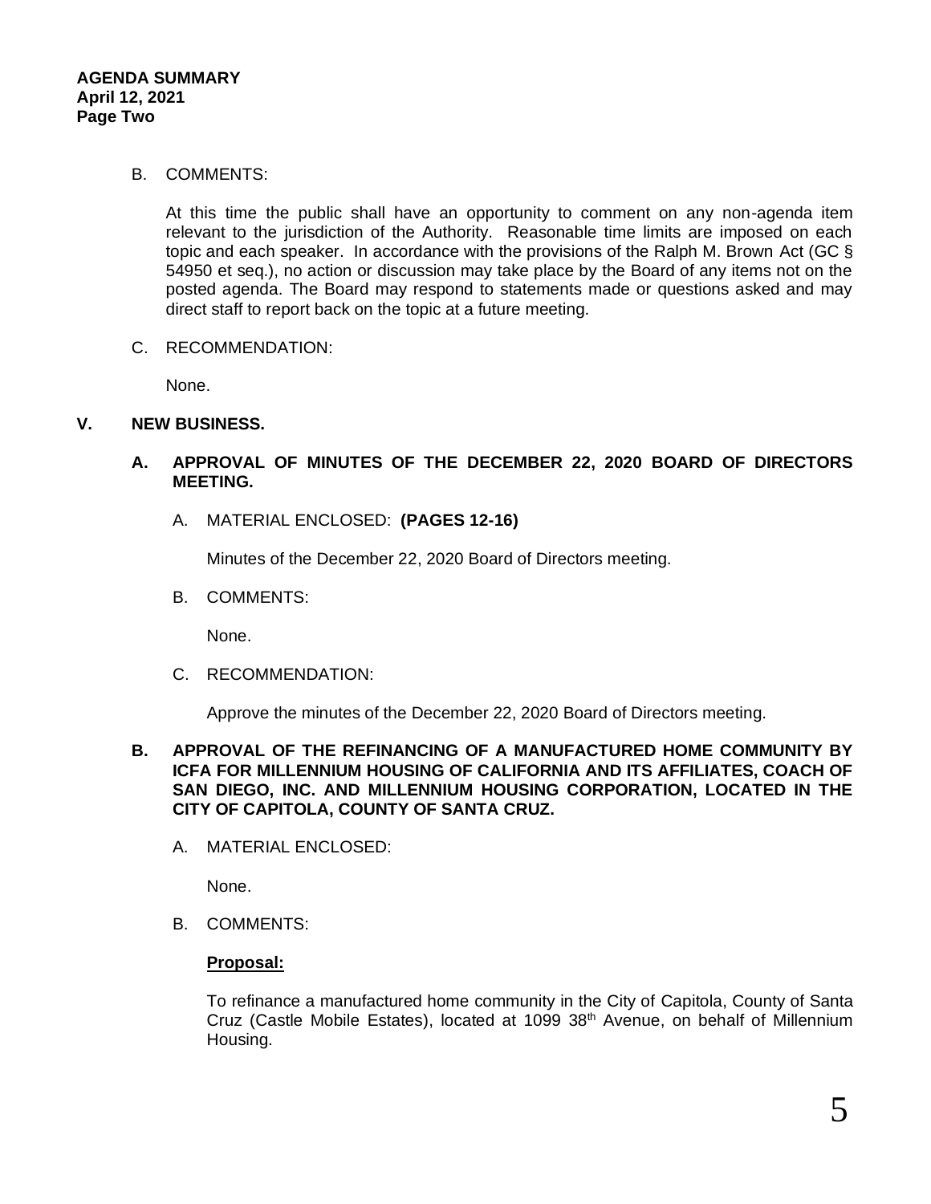## B. COMMENTS:

At this time the public shall have an opportunity to comment on any non-agenda item relevant to the jurisdiction of the Authority. Reasonable time limits are imposed on each topic and each speaker. In accordance with the provisions of the Ralph M. Brown Act (GC § 54950 et seq.), no action or discussion may take place by the Board of any items not on the posted agenda. The Board may respond to statements made or questions asked and may direct staff to report back on the topic at a future meeting.

C. RECOMMENDATION:

None.

# **V. NEW BUSINESS.**

- **A. APPROVAL OF MINUTES OF THE DECEMBER 22, 2020 BOARD OF DIRECTORS MEETING.**
	- A. MATERIAL ENCLOSED: **(PAGES 12-16)**

Minutes of the December 22, 2020 Board of Directors meeting.

B. COMMENTS:

None.

C. RECOMMENDATION:

Approve the minutes of the December 22, 2020 Board of Directors meeting.

## **B. APPROVAL OF THE REFINANCING OF A MANUFACTURED HOME COMMUNITY BY ICFA FOR MILLENNIUM HOUSING OF CALIFORNIA AND ITS AFFILIATES, COACH OF SAN DIEGO, INC. AND MILLENNIUM HOUSING CORPORATION, LOCATED IN THE CITY OF CAPITOLA, COUNTY OF SANTA CRUZ.**

A. MATERIAL ENCLOSED:

None.

B. COMMENTS:

## **Proposal:**

To refinance a manufactured home community in the City of Capitola, County of Santa Cruz (Castle Mobile Estates), located at 1099 38<sup>th</sup> Avenue, on behalf of Millennium Housing.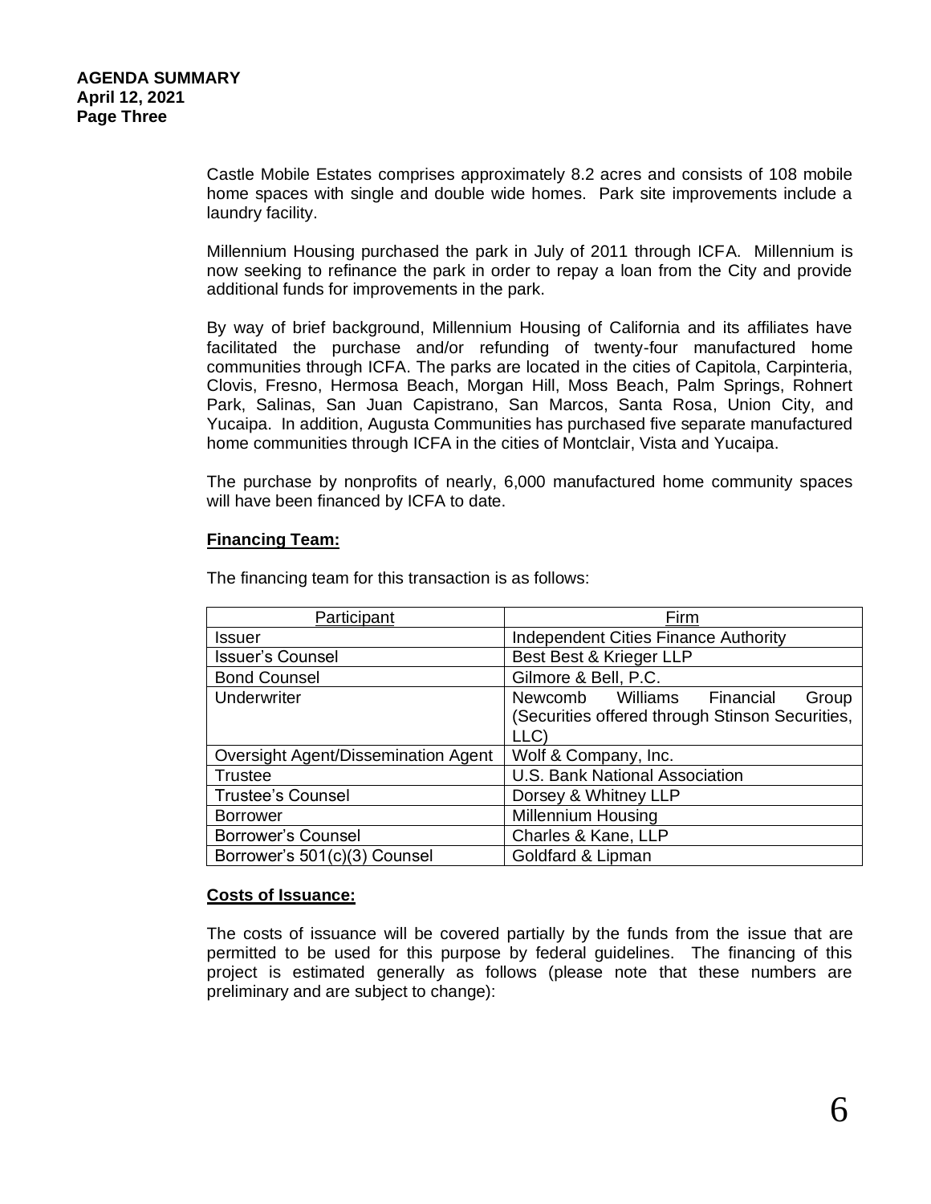Castle Mobile Estates comprises approximately 8.2 acres and consists of 108 mobile home spaces with single and double wide homes. Park site improvements include a laundry facility.

Millennium Housing purchased the park in July of 2011 through ICFA. Millennium is now seeking to refinance the park in order to repay a loan from the City and provide additional funds for improvements in the park.

By way of brief background, Millennium Housing of California and its affiliates have facilitated the purchase and/or refunding of twenty-four manufactured home communities through ICFA. The parks are located in the cities of Capitola, Carpinteria, Clovis, Fresno, Hermosa Beach, Morgan Hill, Moss Beach, Palm Springs, Rohnert Park, Salinas, San Juan Capistrano, San Marcos, Santa Rosa, Union City, and Yucaipa. In addition, Augusta Communities has purchased five separate manufactured home communities through ICFA in the cities of Montclair, Vista and Yucaipa.

The purchase by nonprofits of nearly, 6,000 manufactured home community spaces will have been financed by ICFA to date.

## **Financing Team:**

| Participant                         | Firm                                                                                           |
|-------------------------------------|------------------------------------------------------------------------------------------------|
| Issuer                              | Independent Cities Finance Authority                                                           |
| <b>Issuer's Counsel</b>             | Best Best & Krieger LLP                                                                        |
| <b>Bond Counsel</b>                 | Gilmore & Bell, P.C.                                                                           |
| Underwriter                         | Newcomb Williams Financial<br>Group<br>(Securities offered through Stinson Securities,<br>LLC) |
| Oversight Agent/Dissemination Agent | Wolf & Company, Inc.                                                                           |
| Trustee                             | U.S. Bank National Association                                                                 |
| <b>Trustee's Counsel</b>            | Dorsey & Whitney LLP                                                                           |
| <b>Borrower</b>                     | <b>Millennium Housing</b>                                                                      |
| <b>Borrower's Counsel</b>           | Charles & Kane, LLP                                                                            |
| Borrower's 501(c)(3) Counsel        | Goldfard & Lipman                                                                              |

The financing team for this transaction is as follows:

# **Costs of Issuance:**

The costs of issuance will be covered partially by the funds from the issue that are permitted to be used for this purpose by federal guidelines. The financing of this project is estimated generally as follows (please note that these numbers are preliminary and are subject to change):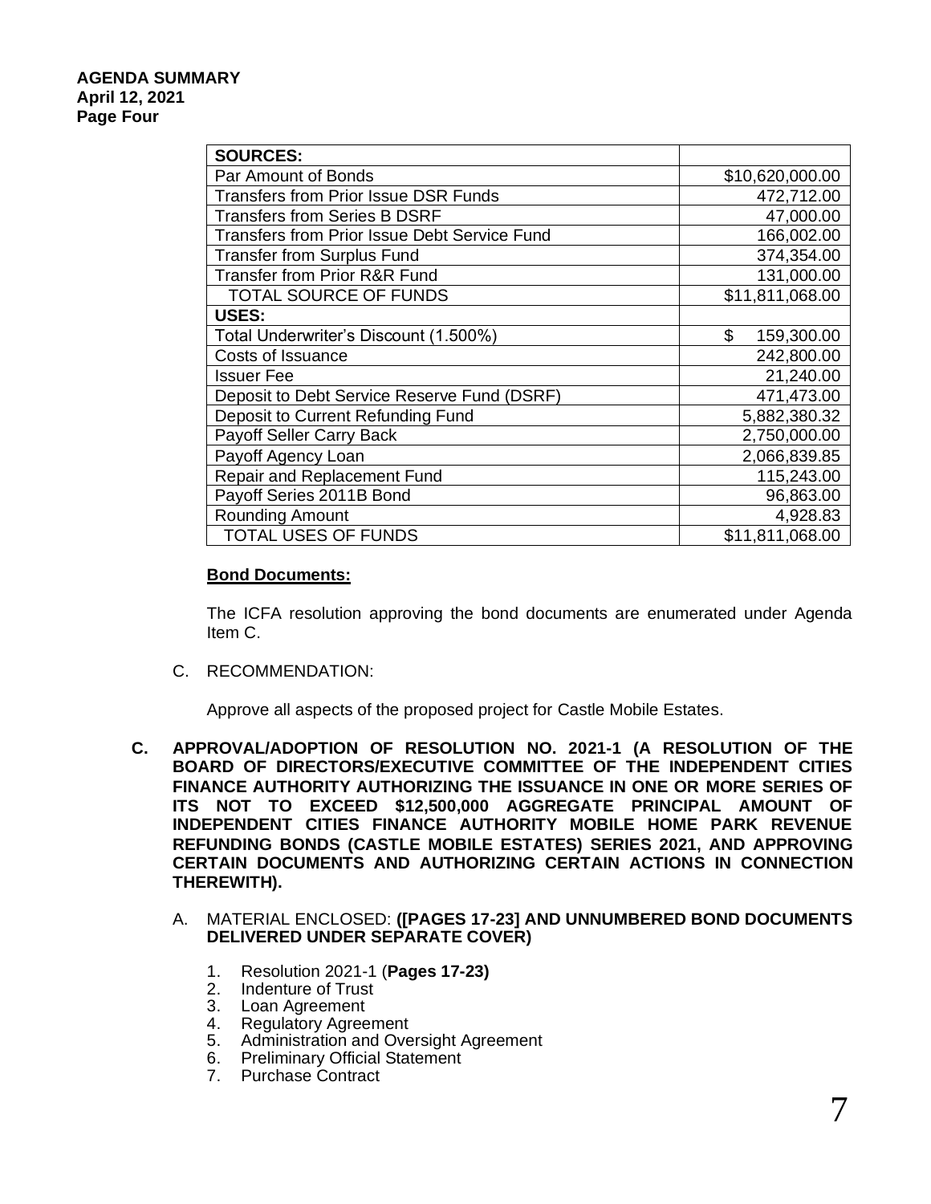| <b>SOURCES:</b>                                     |                  |
|-----------------------------------------------------|------------------|
| Par Amount of Bonds                                 | \$10,620,000.00  |
| <b>Transfers from Prior Issue DSR Funds</b>         | 472,712.00       |
| <b>Transfers from Series B DSRF</b>                 | 47,000.00        |
| <b>Transfers from Prior Issue Debt Service Fund</b> | 166,002.00       |
| <b>Transfer from Surplus Fund</b>                   | 374,354.00       |
| <b>Transfer from Prior R&amp;R Fund</b>             | 131,000.00       |
| TOTAL SOURCE OF FUNDS                               | \$11,811,068.00  |
| USES:                                               |                  |
| Total Underwriter's Discount (1.500%)               | \$<br>159,300.00 |
| Costs of Issuance                                   | 242,800.00       |
| <b>Issuer Fee</b>                                   | 21,240.00        |
| Deposit to Debt Service Reserve Fund (DSRF)         | 471,473.00       |
| Deposit to Current Refunding Fund                   | 5,882,380.32     |
| Payoff Seller Carry Back                            | 2,750,000.00     |
| Payoff Agency Loan                                  | 2,066,839.85     |
| <b>Repair and Replacement Fund</b>                  | 115,243.00       |
| Payoff Series 2011B Bond                            | 96,863.00        |
| Rounding Amount                                     | 4,928.83         |
| <b>TOTAL USES OF FUNDS</b>                          | \$11,811,068.00  |

## **Bond Documents:**

The ICFA resolution approving the bond documents are enumerated under Agenda Item C.

C. RECOMMENDATION:

Approve all aspects of the proposed project for Castle Mobile Estates.

- **C. APPROVAL/ADOPTION OF RESOLUTION NO. 2021-1 (A RESOLUTION OF THE BOARD OF DIRECTORS/EXECUTIVE COMMITTEE OF THE INDEPENDENT CITIES FINANCE AUTHORITY AUTHORIZING THE ISSUANCE IN ONE OR MORE SERIES OF ITS NOT TO EXCEED \$12,500,000 AGGREGATE PRINCIPAL AMOUNT OF INDEPENDENT CITIES FINANCE AUTHORITY MOBILE HOME PARK REVENUE REFUNDING BONDS (CASTLE MOBILE ESTATES) SERIES 2021, AND APPROVING CERTAIN DOCUMENTS AND AUTHORIZING CERTAIN ACTIONS IN CONNECTION THEREWITH).**
	- A. MATERIAL ENCLOSED: **([PAGES 17-23] AND UNNUMBERED BOND DOCUMENTS DELIVERED UNDER SEPARATE COVER)**
		- 1. Resolution 2021-1 (**Pages 17-23)**
		- 2. Indenture of Trust
		- 3. Loan Agreement
		- 4. Regulatory Agreement
		- 5. Administration and Oversight Agreement
		- 6. Preliminary Official Statement
		- 7. Purchase Contract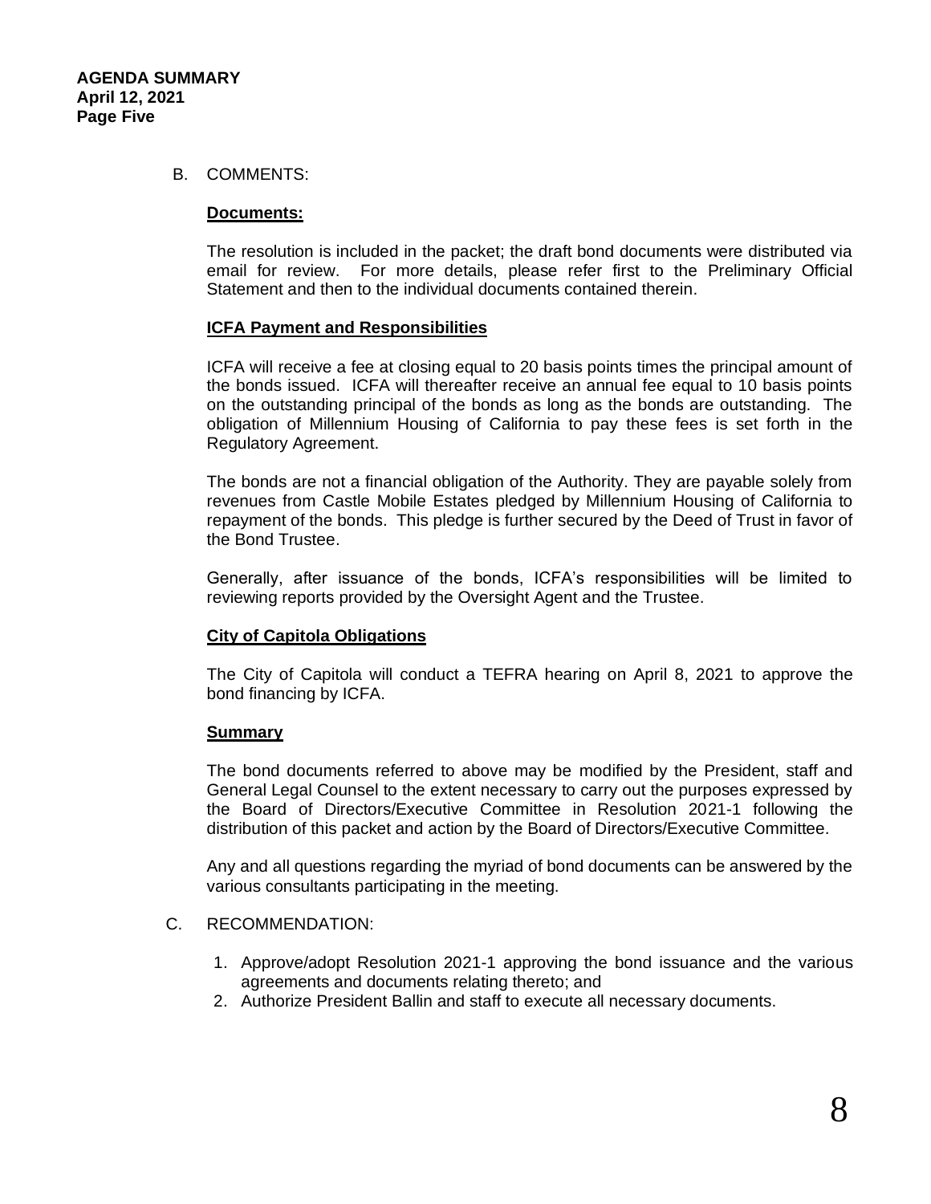## B. COMMENTS:

### **Documents:**

The resolution is included in the packet; the draft bond documents were distributed via email for review. For more details, please refer first to the Preliminary Official Statement and then to the individual documents contained therein.

### **ICFA Payment and Responsibilities**

ICFA will receive a fee at closing equal to 20 basis points times the principal amount of the bonds issued. ICFA will thereafter receive an annual fee equal to 10 basis points on the outstanding principal of the bonds as long as the bonds are outstanding. The obligation of Millennium Housing of California to pay these fees is set forth in the Regulatory Agreement.

The bonds are not a financial obligation of the Authority. They are payable solely from revenues from Castle Mobile Estates pledged by Millennium Housing of California to repayment of the bonds. This pledge is further secured by the Deed of Trust in favor of the Bond Trustee.

Generally, after issuance of the bonds, ICFA's responsibilities will be limited to reviewing reports provided by the Oversight Agent and the Trustee.

## **City of Capitola Obligations**

The City of Capitola will conduct a TEFRA hearing on April 8, 2021 to approve the bond financing by ICFA.

## **Summary**

The bond documents referred to above may be modified by the President, staff and General Legal Counsel to the extent necessary to carry out the purposes expressed by the Board of Directors/Executive Committee in Resolution 2021-1 following the distribution of this packet and action by the Board of Directors/Executive Committee.

Any and all questions regarding the myriad of bond documents can be answered by the various consultants participating in the meeting.

## C. RECOMMENDATION:

- 1. Approve/adopt Resolution 2021-1 approving the bond issuance and the various agreements and documents relating thereto; and
- 2. Authorize President Ballin and staff to execute all necessary documents.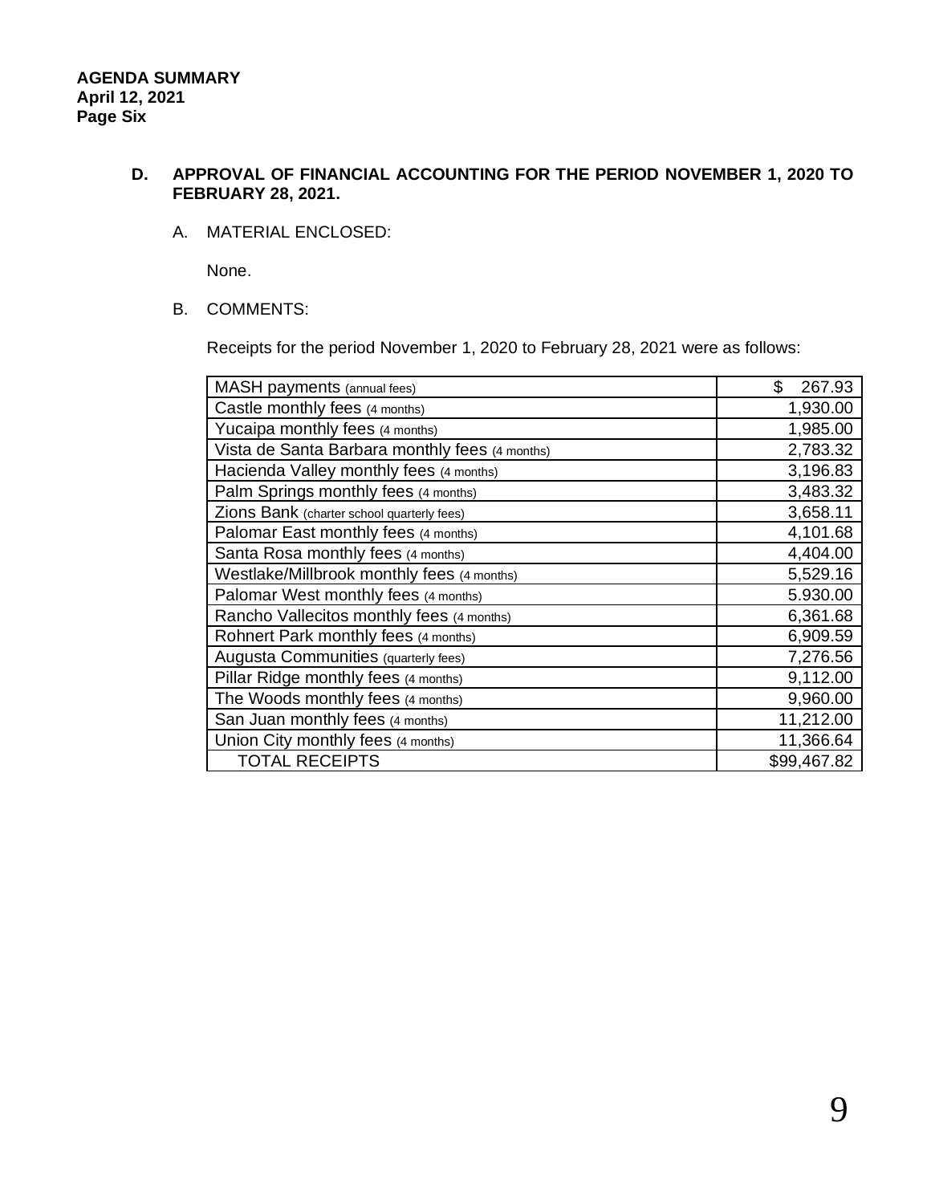# **D. APPROVAL OF FINANCIAL ACCOUNTING FOR THE PERIOD NOVEMBER 1, 2020 TO FEBRUARY 28, 2021.**

## A. MATERIAL ENCLOSED:

None.

## B. COMMENTS:

Receipts for the period November 1, 2020 to February 28, 2021 were as follows:

| MASH payments (annual fees)                    | \$<br>267.93 |
|------------------------------------------------|--------------|
| Castle monthly fees (4 months)                 | 1,930.00     |
| Yucaipa monthly fees (4 months)                | 1,985.00     |
| Vista de Santa Barbara monthly fees (4 months) | 2,783.32     |
| Hacienda Valley monthly fees (4 months)        | 3,196.83     |
| Palm Springs monthly fees (4 months)           | 3,483.32     |
| Zions Bank (charter school quarterly fees)     | 3,658.11     |
| Palomar East monthly fees (4 months)           | 4,101.68     |
| Santa Rosa monthly fees (4 months)             | 4,404.00     |
| Westlake/Millbrook monthly fees (4 months)     | 5,529.16     |
| Palomar West monthly fees (4 months)           | 5.930.00     |
| Rancho Vallecitos monthly fees (4 months)      | 6,361.68     |
| Rohnert Park monthly fees (4 months)           | 6,909.59     |
| Augusta Communities (quarterly fees)           | 7,276.56     |
| Pillar Ridge monthly fees (4 months)           | 9,112.00     |
| The Woods monthly fees (4 months)              | 9,960.00     |
| San Juan monthly fees (4 months)               | 11,212.00    |
| Union City monthly fees (4 months)             | 11,366.64    |
| <b>TOTAL RECEIPTS</b>                          | \$99,467.82  |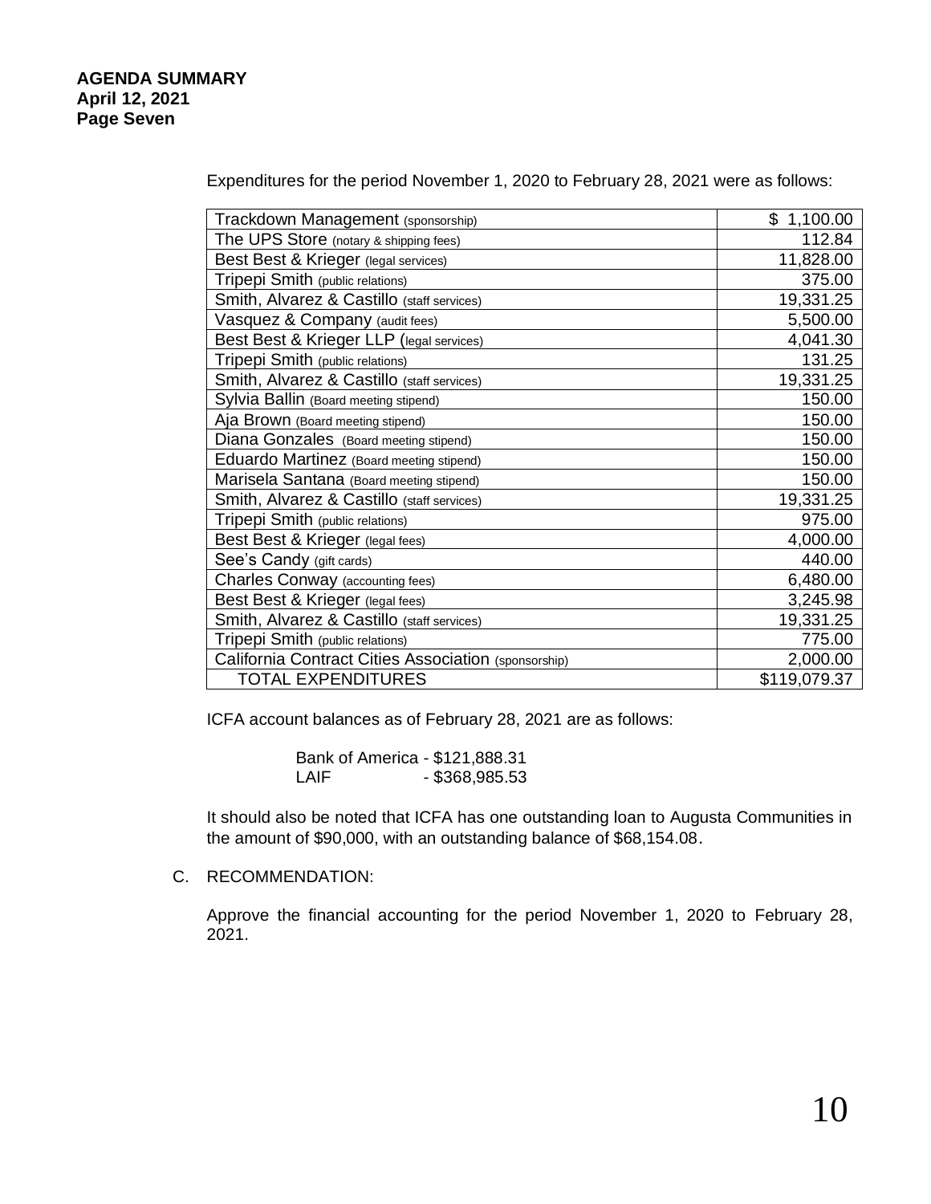Expenditures for the period November 1, 2020 to February 28, 2021 were as follows:

| Trackdown Management (sponsorship)                   | \$1,100.00   |
|------------------------------------------------------|--------------|
| The UPS Store (notary & shipping fees)               | 112.84       |
| Best Best & Krieger (legal services)                 | 11,828.00    |
| Tripepi Smith (public relations)                     | 375.00       |
| Smith, Alvarez & Castillo (staff services)           | 19,331.25    |
| Vasquez & Company (audit fees)                       | 5,500.00     |
| Best Best & Krieger LLP (legal services)             | 4,041.30     |
| Tripepi Smith (public relations)                     | 131.25       |
| Smith, Alvarez & Castillo (staff services)           | 19,331.25    |
| Sylvia Ballin (Board meeting stipend)                | 150.00       |
| Aja Brown (Board meeting stipend)                    | 150.00       |
| Diana Gonzales (Board meeting stipend)               | 150.00       |
| Eduardo Martinez (Board meeting stipend)             | 150.00       |
| Marisela Santana (Board meeting stipend)             | 150.00       |
| Smith, Alvarez & Castillo (staff services)           | 19,331.25    |
| Tripepi Smith (public relations)                     | 975.00       |
| Best Best & Krieger (legal fees)                     | 4,000.00     |
| See's Candy (gift cards)                             | 440.00       |
| <b>Charles Conway (accounting fees)</b>              | 6,480.00     |
| Best Best & Krieger (legal fees)                     | 3,245.98     |
| Smith, Alvarez & Castillo (staff services)           | 19,331.25    |
| Tripepi Smith (public relations)                     | 775.00       |
| California Contract Cities Association (sponsorship) | 2,000.00     |
| <b>TOTAL EXPENDITURES</b>                            | \$119,079.37 |

ICFA account balances as of February 28, 2021 are as follows:

Bank of America - \$121,888.31 LAIF - \$368,985.53

It should also be noted that ICFA has one outstanding loan to Augusta Communities in the amount of \$90,000, with an outstanding balance of \$68,154.08.

C. RECOMMENDATION:

Approve the financial accounting for the period November 1, 2020 to February 28, 2021.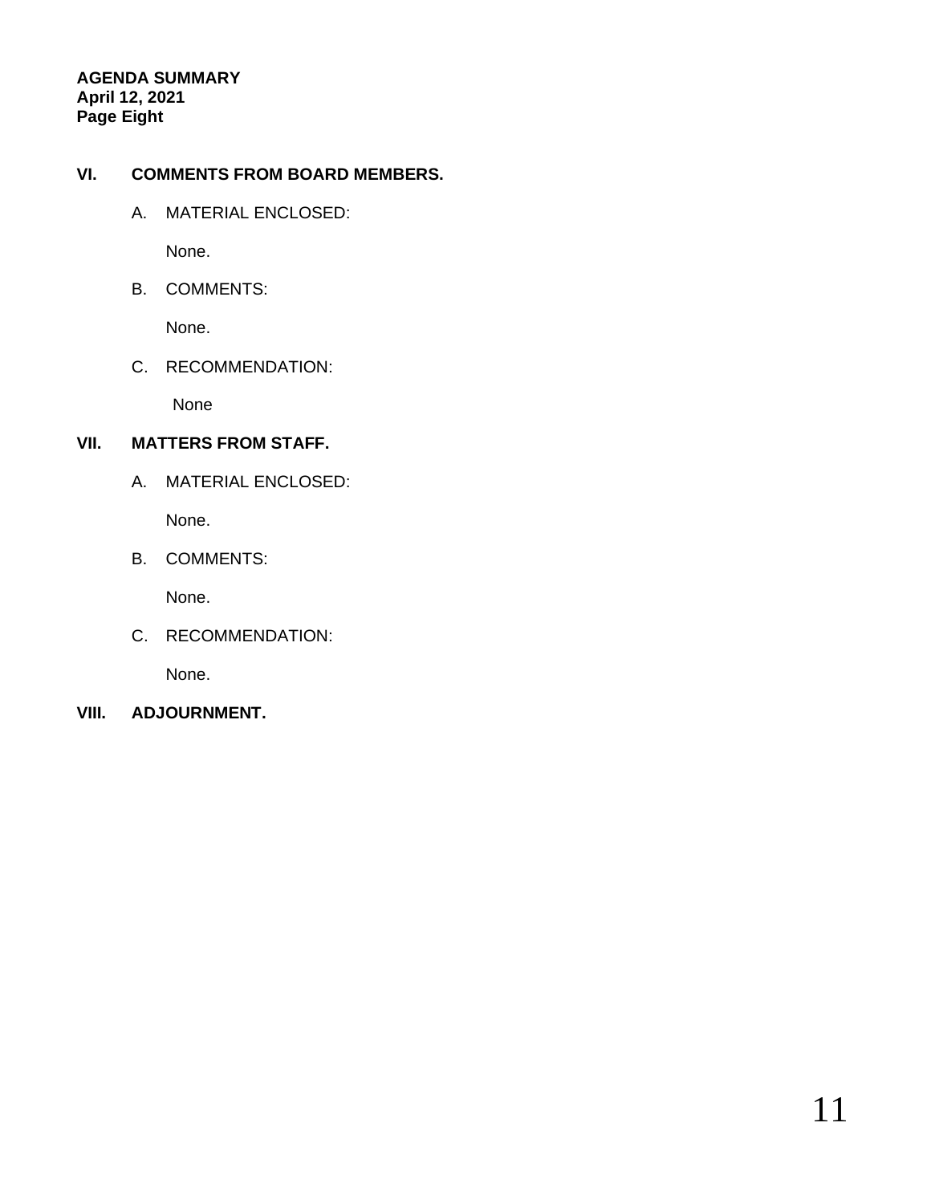# **AGENDA SUMMARY April 12, 2021 Page Eight**

# **VI. COMMENTS FROM BOARD MEMBERS.**

A. MATERIAL ENCLOSED:

None.

B. COMMENTS:

None.

C. RECOMMENDATION:

None

# **VII. MATTERS FROM STAFF.**

A. MATERIAL ENCLOSED:

None.

B. COMMENTS:

None.

C. RECOMMENDATION:

None.

**VIII. ADJOURNMENT.**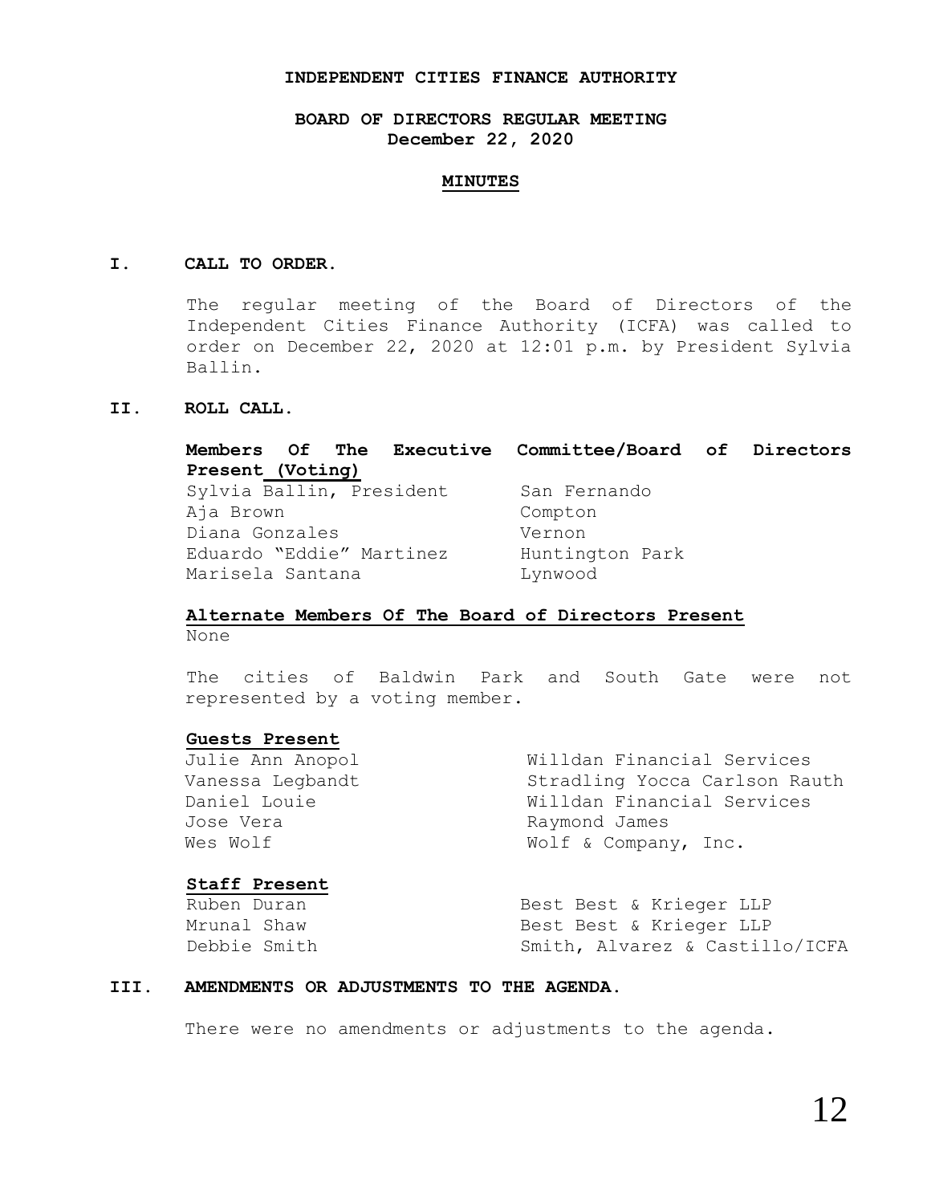#### **INDEPENDENT CITIES FINANCE AUTHORITY**

## **BOARD OF DIRECTORS REGULAR MEETING December 22, 2020**

#### **MINUTES**

#### **I. CALL TO ORDER.**

The regular meeting of the Board of Directors of the Independent Cities Finance Authority (ICFA) was called to order on December 22, 2020 at 12:01 p.m. by President Sylvia Ballin.

### **II. ROLL CALL.**

**Members Of The Executive Committee/Board of Directors Present (Voting)** Sylvia Ballin, President San Fernando Aja Brown Compton Diana Gonzales Vernon Eduardo "Eddie" Martinez Huntington Park Marisela Santana and Lynwood

#### **Alternate Members Of The Board of Directors Present** None

The cities of Baldwin Park and South Gate were not represented by a voting member.

#### **Guests Present**

Julie Ann Anopol Willdan Financial Services Vanessa Legbandt Stradling Yocca Carlson Rauth Daniel Louie Willdan Financial Services Jose Vera **Raymond James** Wes Wolf  $W$  Wolf & Company, Inc.

#### **Staff Present**

Ruben Duran Best Best & Krieger LLP Mrunal Shaw **Best Best & Krieger LLP** Debbie Smith Smith, Alvarez & Castillo/ICFA

#### **III. AMENDMENTS OR ADJUSTMENTS TO THE AGENDA.**

There were no amendments or adjustments to the agenda.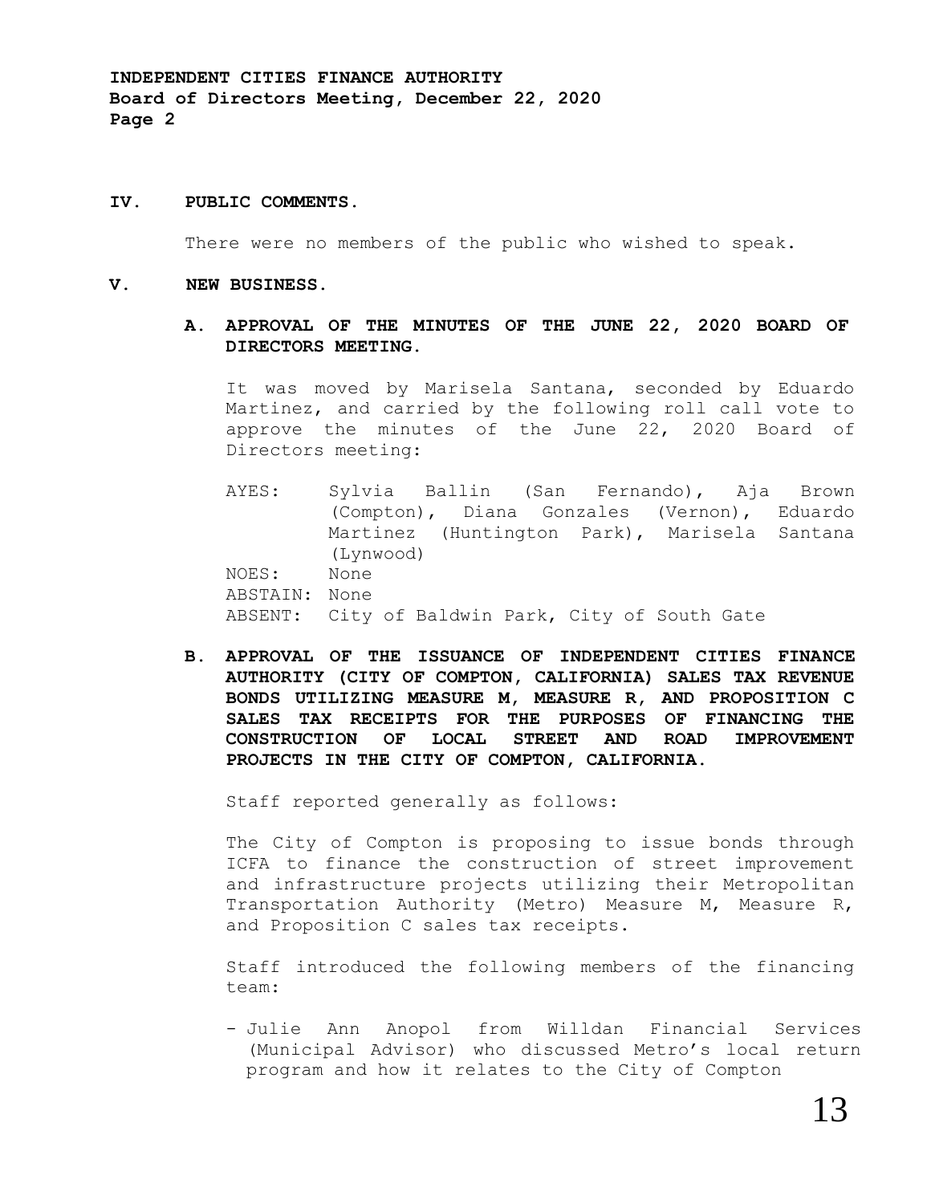### **IV. PUBLIC COMMENTS.**

There were no members of the public who wished to speak.

#### **V. NEW BUSINESS.**

## **A. APPROVAL OF THE MINUTES OF THE JUNE 22, 2020 BOARD OF DIRECTORS MEETING.**

It was moved by Marisela Santana, seconded by Eduardo Martinez, and carried by the following roll call vote to approve the minutes of the June 22, 2020 Board of Directors meeting:

- AYES: Sylvia Ballin (San Fernando), Aja Brown (Compton), Diana Gonzales (Vernon), Eduardo Martinez (Huntington Park), Marisela Santana (Lynwood) NOES: None ABSTAIN: None ABSENT: City of Baldwin Park, City of South Gate
- **B. APPROVAL OF THE ISSUANCE OF INDEPENDENT CITIES FINANCE AUTHORITY (CITY OF COMPTON, CALIFORNIA) SALES TAX REVENUE BONDS UTILIZING MEASURE M, MEASURE R, AND PROPOSITION C SALES TAX RECEIPTS FOR THE PURPOSES OF FINANCING THE CONSTRUCTION OF LOCAL STREET AND ROAD IMPROVEMENT PROJECTS IN THE CITY OF COMPTON, CALIFORNIA.**

Staff reported generally as follows:

The City of Compton is proposing to issue bonds through ICFA to finance the construction of street improvement and infrastructure projects utilizing their Metropolitan Transportation Authority (Metro) Measure M, Measure R, and Proposition C sales tax receipts.

Staff introduced the following members of the financing team:

- Julie Ann Anopol from Willdan Financial Services (Municipal Advisor) who discussed Metro's local return program and how it relates to the City of Compton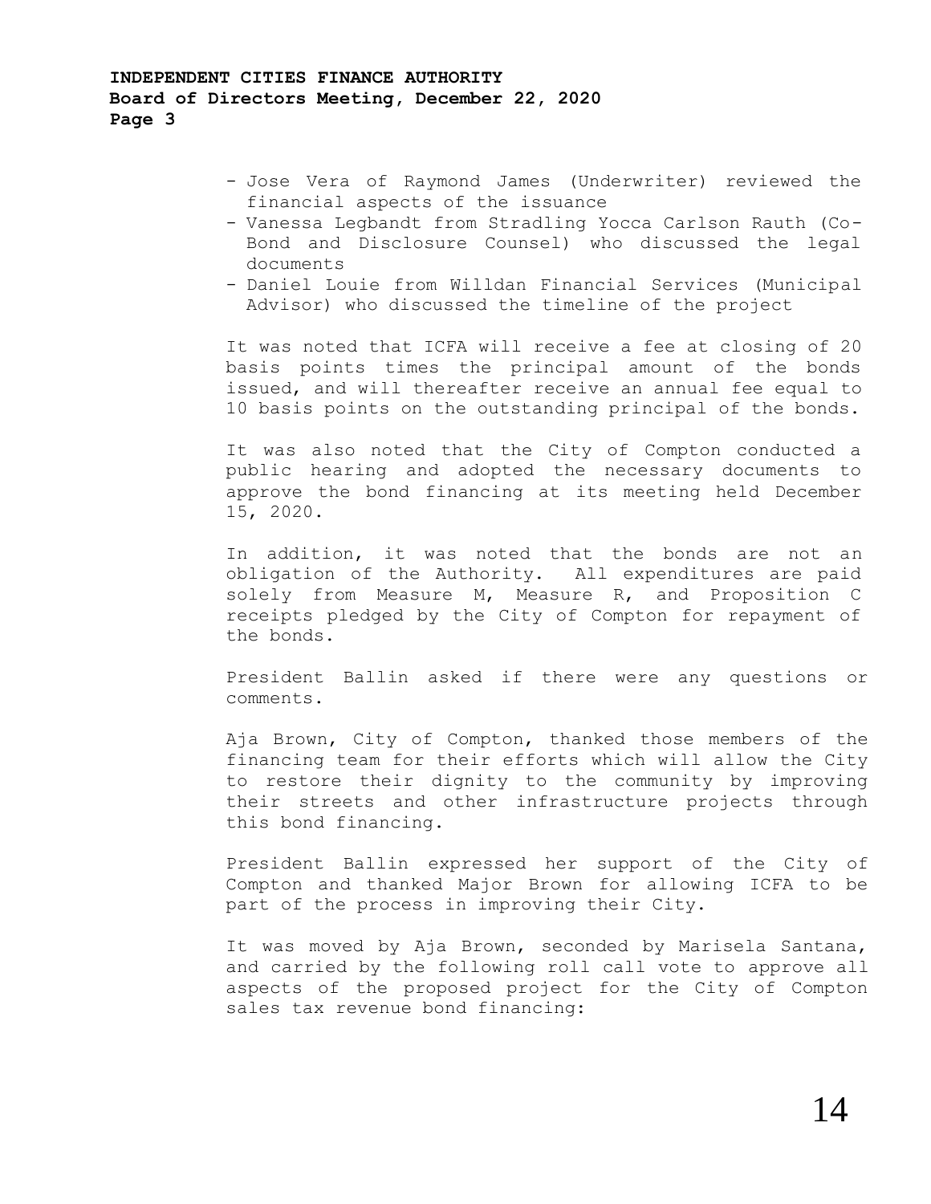- Jose Vera of Raymond James (Underwriter) reviewed the financial aspects of the issuance
- Vanessa Legbandt from Stradling Yocca Carlson Rauth (Co-Bond and Disclosure Counsel) who discussed the legal documents
- Daniel Louie from Willdan Financial Services (Municipal Advisor) who discussed the timeline of the project

It was noted that ICFA will receive a fee at closing of 20 basis points times the principal amount of the bonds issued, and will thereafter receive an annual fee equal to 10 basis points on the outstanding principal of the bonds.

It was also noted that the City of Compton conducted a public hearing and adopted the necessary documents to approve the bond financing at its meeting held December 15, 2020.

In addition, it was noted that the bonds are not an obligation of the Authority. All expenditures are paid solely from Measure M, Measure R, and Proposition C receipts pledged by the City of Compton for repayment of the bonds.

President Ballin asked if there were any questions or comments.

Aja Brown, City of Compton, thanked those members of the financing team for their efforts which will allow the City to restore their dignity to the community by improving their streets and other infrastructure projects through this bond financing.

President Ballin expressed her support of the City of Compton and thanked Major Brown for allowing ICFA to be part of the process in improving their City.

It was moved by Aja Brown, seconded by Marisela Santana, and carried by the following roll call vote to approve all aspects of the proposed project for the City of Compton sales tax revenue bond financing: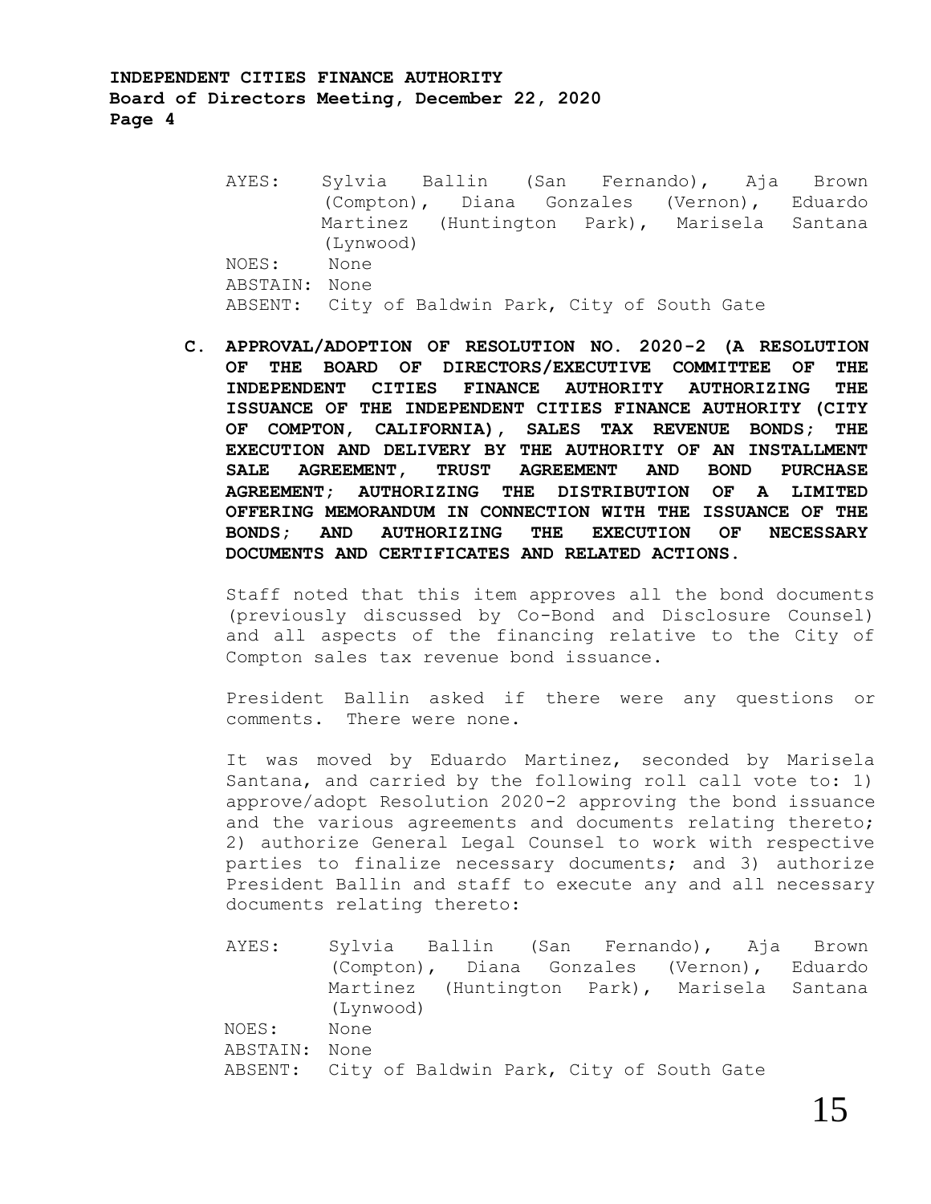**INDEPENDENT CITIES FINANCE AUTHORITY Board of Directors Meeting, December 22, 2020 Page 4**

- AYES: Sylvia Ballin (San Fernando), Aja Brown (Compton), Diana Gonzales (Vernon), Eduardo Martinez (Huntington Park), Marisela Santana (Lynwood) NOES: None ABSTAIN: None ABSENT: City of Baldwin Park, City of South Gate
- **C. APPROVAL/ADOPTION OF RESOLUTION NO. 2020-2 (A RESOLUTION OF THE BOARD OF DIRECTORS/EXECUTIVE COMMITTEE OF THE INDEPENDENT CITIES FINANCE AUTHORITY AUTHORIZING THE ISSUANCE OF THE INDEPENDENT CITIES FINANCE AUTHORITY (CITY OF COMPTON, CALIFORNIA), SALES TAX REVENUE BONDS; THE EXECUTION AND DELIVERY BY THE AUTHORITY OF AN INSTALLMENT SALE AGREEMENT, TRUST AGREEMENT AND BOND PURCHASE AGREEMENT; AUTHORIZING THE DISTRIBUTION OF A LIMITED OFFERING MEMORANDUM IN CONNECTION WITH THE ISSUANCE OF THE BONDS; AND AUTHORIZING THE EXECUTION OF NECESSARY DOCUMENTS AND CERTIFICATES AND RELATED ACTIONS.**

Staff noted that this item approves all the bond documents (previously discussed by Co-Bond and Disclosure Counsel) and all aspects of the financing relative to the City of Compton sales tax revenue bond issuance.

President Ballin asked if there were any questions or comments. There were none.

It was moved by Eduardo Martinez, seconded by Marisela Santana, and carried by the following roll call vote to: 1) approve/adopt Resolution 2020-2 approving the bond issuance and the various agreements and documents relating thereto; 2) authorize General Legal Counsel to work with respective parties to finalize necessary documents; and 3) authorize President Ballin and staff to execute any and all necessary documents relating thereto:

AYES: Sylvia Ballin (San Fernando), Aja Brown (Compton), Diana Gonzales (Vernon), Eduardo Martinez (Huntington Park), Marisela Santana (Lynwood) NOES: None ABSTAIN: None ABSENT: City of Baldwin Park, City of South Gate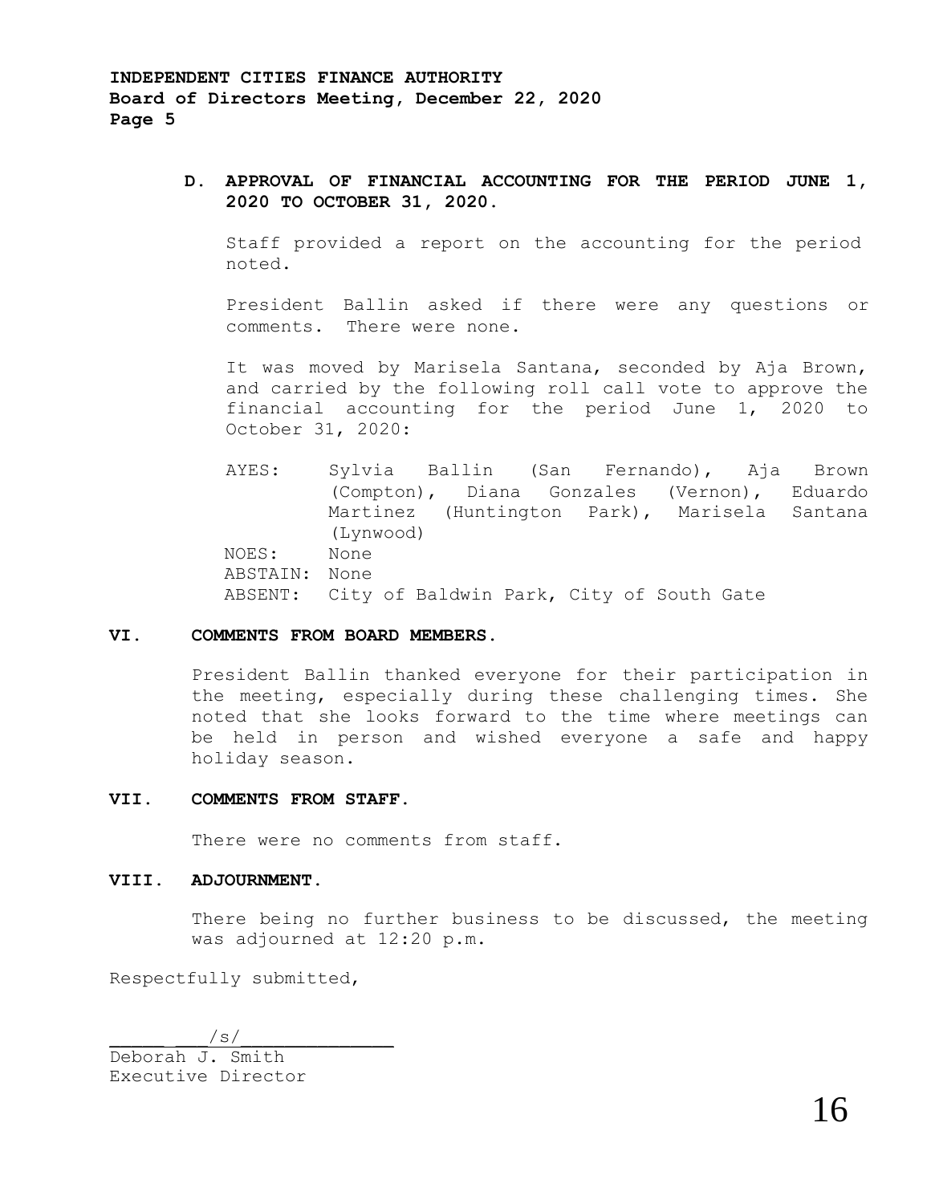## **D. APPROVAL OF FINANCIAL ACCOUNTING FOR THE PERIOD JUNE 1, 2020 TO OCTOBER 31, 2020.**

Staff provided a report on the accounting for the period noted.

President Ballin asked if there were any questions or comments. There were none.

It was moved by Marisela Santana, seconded by Aja Brown, and carried by the following roll call vote to approve the financial accounting for the period June 1, 2020 to October 31, 2020:

AYES: Sylvia Ballin (San Fernando), Aja Brown (Compton), Diana Gonzales (Vernon), Eduardo Martinez (Huntington Park), Marisela Santana (Lynwood) NOES: None ABSTAIN: None ABSENT: City of Baldwin Park, City of South Gate

### **VI. COMMENTS FROM BOARD MEMBERS.**

President Ballin thanked everyone for their participation in the meeting, especially during these challenging times. She noted that she looks forward to the time where meetings can be held in person and wished everyone a safe and happy holiday season.

#### **VII. COMMENTS FROM STAFF.**

There were no comments from staff.

#### **VIII. ADJOURNMENT.**

There being no further business to be discussed, the meeting was adjourned at 12:20 p.m.

Respectfully submitted,

 $\sqrt{s/2}$ 

Deborah J. Smith Executive Director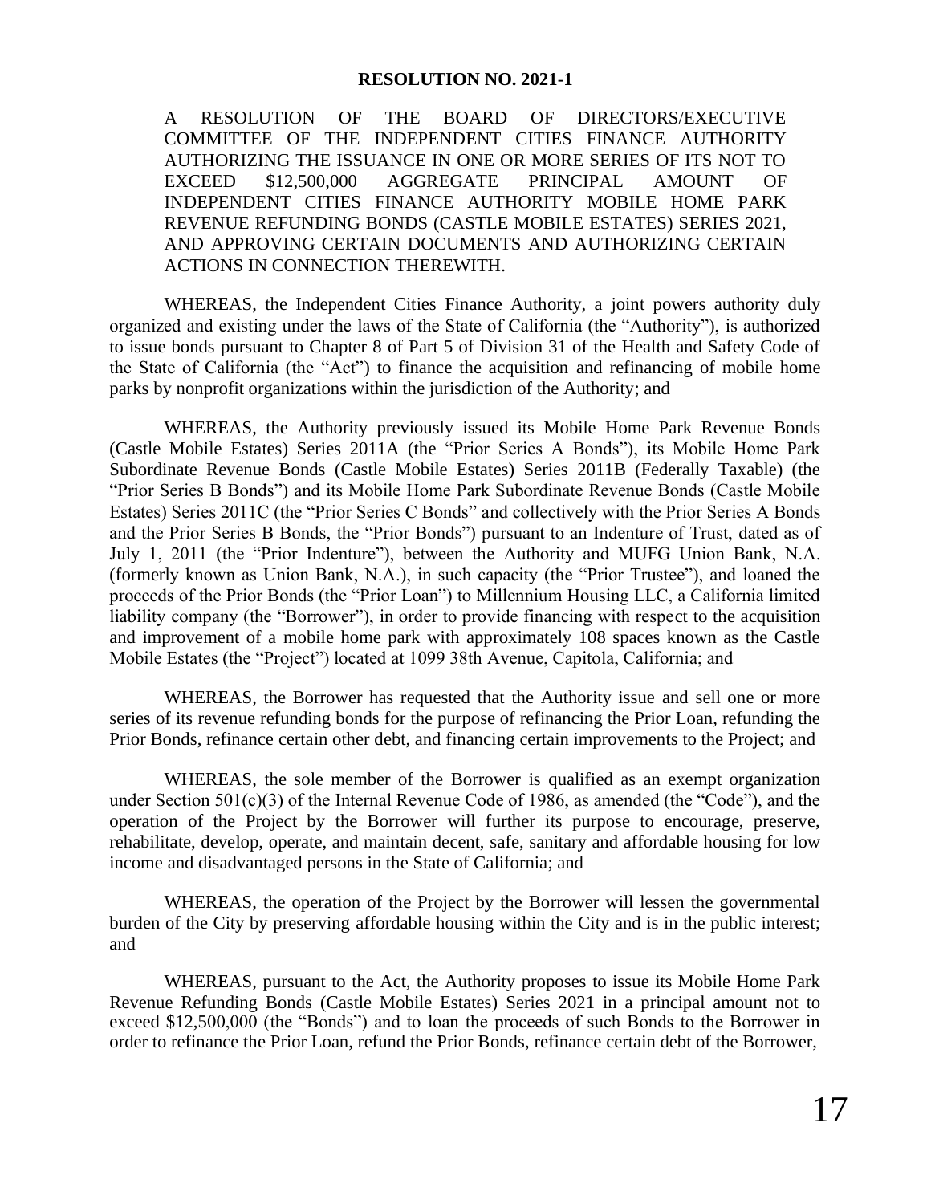A RESOLUTION OF THE BOARD OF DIRECTORS/EXECUTIVE COMMITTEE OF THE INDEPENDENT CITIES FINANCE AUTHORITY AUTHORIZING THE ISSUANCE IN ONE OR MORE SERIES OF ITS NOT TO EXCEED \$12,500,000 AGGREGATE PRINCIPAL AMOUNT OF INDEPENDENT CITIES FINANCE AUTHORITY MOBILE HOME PARK REVENUE REFUNDING BONDS (CASTLE MOBILE ESTATES) SERIES 2021, AND APPROVING CERTAIN DOCUMENTS AND AUTHORIZING CERTAIN ACTIONS IN CONNECTION THEREWITH.

WHEREAS, the Independent Cities Finance Authority, a joint powers authority duly organized and existing under the laws of the State of California (the "Authority"), is authorized to issue bonds pursuant to Chapter 8 of Part 5 of Division 31 of the Health and Safety Code of the State of California (the "Act") to finance the acquisition and refinancing of mobile home parks by nonprofit organizations within the jurisdiction of the Authority; and

WHEREAS, the Authority previously issued its Mobile Home Park Revenue Bonds (Castle Mobile Estates) Series 2011A (the "Prior Series A Bonds"), its Mobile Home Park Subordinate Revenue Bonds (Castle Mobile Estates) Series 2011B (Federally Taxable) (the "Prior Series B Bonds") and its Mobile Home Park Subordinate Revenue Bonds (Castle Mobile Estates) Series 2011C (the "Prior Series C Bonds" and collectively with the Prior Series A Bonds and the Prior Series B Bonds, the "Prior Bonds") pursuant to an Indenture of Trust, dated as of July 1, 2011 (the "Prior Indenture"), between the Authority and MUFG Union Bank, N.A. (formerly known as Union Bank, N.A.), in such capacity (the "Prior Trustee"), and loaned the proceeds of the Prior Bonds (the "Prior Loan") to Millennium Housing LLC, a California limited liability company (the "Borrower"), in order to provide financing with respect to the acquisition and improvement of a mobile home park with approximately 108 spaces known as the Castle Mobile Estates (the "Project") located at 1099 38th Avenue, Capitola, California; and

WHEREAS, the Borrower has requested that the Authority issue and sell one or more series of its revenue refunding bonds for the purpose of refinancing the Prior Loan, refunding the Prior Bonds, refinance certain other debt, and financing certain improvements to the Project; and

WHEREAS, the sole member of the Borrower is qualified as an exempt organization under Section 501(c)(3) of the Internal Revenue Code of 1986, as amended (the "Code"), and the operation of the Project by the Borrower will further its purpose to encourage, preserve, rehabilitate, develop, operate, and maintain decent, safe, sanitary and affordable housing for low income and disadvantaged persons in the State of California; and

WHEREAS, the operation of the Project by the Borrower will lessen the governmental burden of the City by preserving affordable housing within the City and is in the public interest; and

WHEREAS, pursuant to the Act, the Authority proposes to issue its Mobile Home Park Revenue Refunding Bonds (Castle Mobile Estates) Series 2021 in a principal amount not to exceed \$12,500,000 (the "Bonds") and to loan the proceeds of such Bonds to the Borrower in order to refinance the Prior Loan, refund the Prior Bonds, refinance certain debt of the Borrower,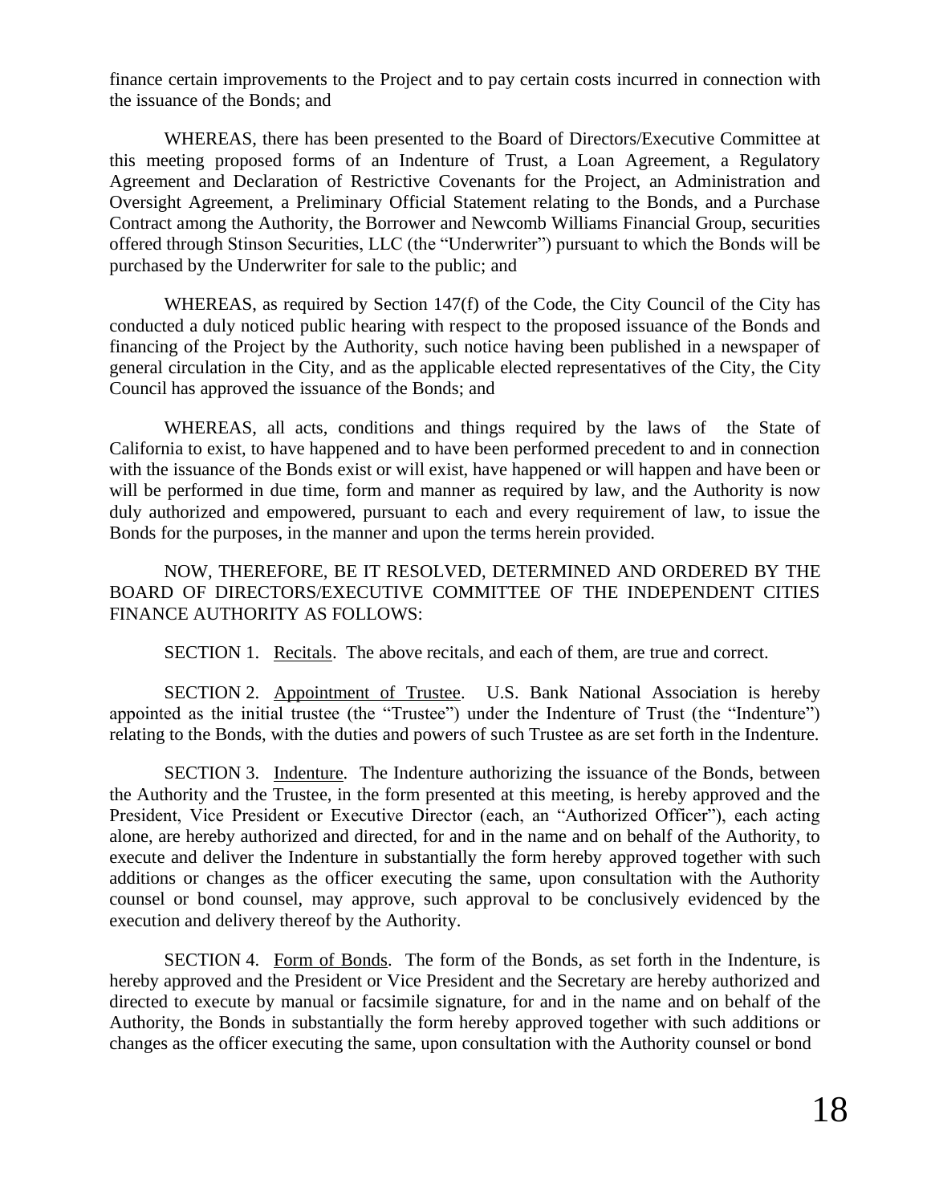finance certain improvements to the Project and to pay certain costs incurred in connection with the issuance of the Bonds; and

WHEREAS, there has been presented to the Board of Directors/Executive Committee at this meeting proposed forms of an Indenture of Trust, a Loan Agreement, a Regulatory Agreement and Declaration of Restrictive Covenants for the Project, an Administration and Oversight Agreement, a Preliminary Official Statement relating to the Bonds, and a Purchase Contract among the Authority, the Borrower and Newcomb Williams Financial Group, securities offered through Stinson Securities, LLC (the "Underwriter") pursuant to which the Bonds will be purchased by the Underwriter for sale to the public; and

WHEREAS, as required by Section 147(f) of the Code, the City Council of the City has conducted a duly noticed public hearing with respect to the proposed issuance of the Bonds and financing of the Project by the Authority, such notice having been published in a newspaper of general circulation in the City, and as the applicable elected representatives of the City, the City Council has approved the issuance of the Bonds; and

WHEREAS, all acts, conditions and things required by the laws of the State of California to exist, to have happened and to have been performed precedent to and in connection with the issuance of the Bonds exist or will exist, have happened or will happen and have been or will be performed in due time, form and manner as required by law, and the Authority is now duly authorized and empowered, pursuant to each and every requirement of law, to issue the Bonds for the purposes, in the manner and upon the terms herein provided.

NOW, THEREFORE, BE IT RESOLVED, DETERMINED AND ORDERED BY THE BOARD OF DIRECTORS/EXECUTIVE COMMITTEE OF THE INDEPENDENT CITIES FINANCE AUTHORITY AS FOLLOWS:

SECTION 1. Recitals. The above recitals, and each of them, are true and correct.

SECTION 2. Appointment of Trustee. U.S. Bank National Association is hereby appointed as the initial trustee (the "Trustee") under the Indenture of Trust (the "Indenture") relating to the Bonds, with the duties and powers of such Trustee as are set forth in the Indenture.

SECTION 3. Indenture. The Indenture authorizing the issuance of the Bonds, between the Authority and the Trustee, in the form presented at this meeting, is hereby approved and the President, Vice President or Executive Director (each, an "Authorized Officer"), each acting alone, are hereby authorized and directed, for and in the name and on behalf of the Authority, to execute and deliver the Indenture in substantially the form hereby approved together with such additions or changes as the officer executing the same, upon consultation with the Authority counsel or bond counsel, may approve, such approval to be conclusively evidenced by the execution and delivery thereof by the Authority.

SECTION 4. Form of Bonds. The form of the Bonds, as set forth in the Indenture, is hereby approved and the President or Vice President and the Secretary are hereby authorized and directed to execute by manual or facsimile signature, for and in the name and on behalf of the Authority, the Bonds in substantially the form hereby approved together with such additions or changes as the officer executing the same, upon consultation with the Authority counsel or bond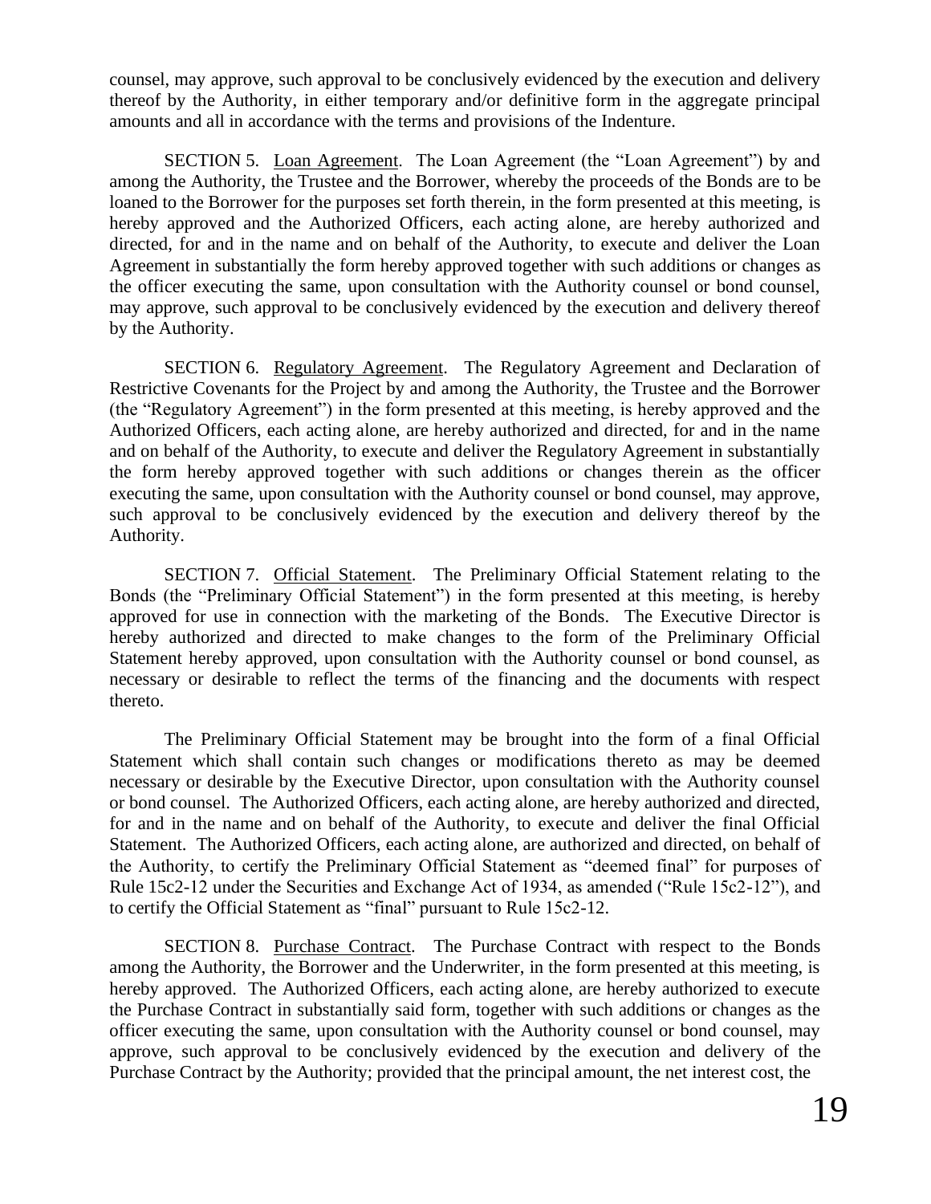counsel, may approve, such approval to be conclusively evidenced by the execution and delivery thereof by the Authority, in either temporary and/or definitive form in the aggregate principal amounts and all in accordance with the terms and provisions of the Indenture.

SECTION 5. Loan Agreement. The Loan Agreement (the "Loan Agreement") by and among the Authority, the Trustee and the Borrower, whereby the proceeds of the Bonds are to be loaned to the Borrower for the purposes set forth therein, in the form presented at this meeting, is hereby approved and the Authorized Officers, each acting alone, are hereby authorized and directed, for and in the name and on behalf of the Authority, to execute and deliver the Loan Agreement in substantially the form hereby approved together with such additions or changes as the officer executing the same, upon consultation with the Authority counsel or bond counsel, may approve, such approval to be conclusively evidenced by the execution and delivery thereof by the Authority.

SECTION 6. Regulatory Agreement. The Regulatory Agreement and Declaration of Restrictive Covenants for the Project by and among the Authority, the Trustee and the Borrower (the "Regulatory Agreement") in the form presented at this meeting, is hereby approved and the Authorized Officers, each acting alone, are hereby authorized and directed, for and in the name and on behalf of the Authority, to execute and deliver the Regulatory Agreement in substantially the form hereby approved together with such additions or changes therein as the officer executing the same, upon consultation with the Authority counsel or bond counsel, may approve, such approval to be conclusively evidenced by the execution and delivery thereof by the Authority.

SECTION 7. Official Statement. The Preliminary Official Statement relating to the Bonds (the "Preliminary Official Statement") in the form presented at this meeting, is hereby approved for use in connection with the marketing of the Bonds. The Executive Director is hereby authorized and directed to make changes to the form of the Preliminary Official Statement hereby approved, upon consultation with the Authority counsel or bond counsel, as necessary or desirable to reflect the terms of the financing and the documents with respect thereto.

The Preliminary Official Statement may be brought into the form of a final Official Statement which shall contain such changes or modifications thereto as may be deemed necessary or desirable by the Executive Director, upon consultation with the Authority counsel or bond counsel. The Authorized Officers, each acting alone, are hereby authorized and directed, for and in the name and on behalf of the Authority, to execute and deliver the final Official Statement. The Authorized Officers, each acting alone, are authorized and directed, on behalf of the Authority, to certify the Preliminary Official Statement as "deemed final" for purposes of Rule 15c2-12 under the Securities and Exchange Act of 1934, as amended ("Rule 15c2-12"), and to certify the Official Statement as "final" pursuant to Rule 15c2-12.

SECTION 8. Purchase Contract. The Purchase Contract with respect to the Bonds among the Authority, the Borrower and the Underwriter, in the form presented at this meeting, is hereby approved. The Authorized Officers, each acting alone, are hereby authorized to execute the Purchase Contract in substantially said form, together with such additions or changes as the officer executing the same, upon consultation with the Authority counsel or bond counsel, may approve, such approval to be conclusively evidenced by the execution and delivery of the Purchase Contract by the Authority; provided that the principal amount, the net interest cost, the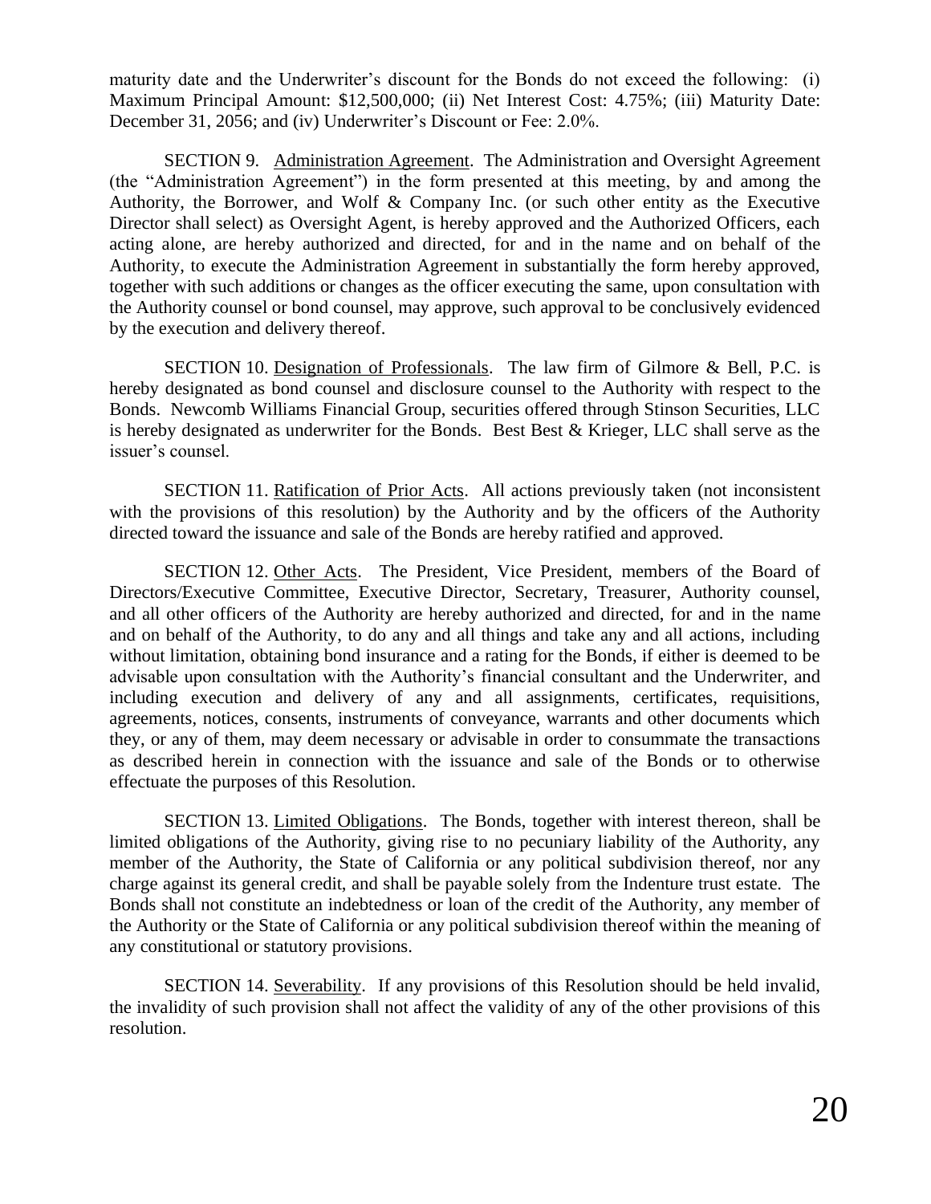maturity date and the Underwriter's discount for the Bonds do not exceed the following: (i) Maximum Principal Amount: \$12,500,000; (ii) Net Interest Cost: 4.75%; (iii) Maturity Date: December 31, 2056; and (iv) Underwriter's Discount or Fee: 2.0%.

SECTION 9. Administration Agreement. The Administration and Oversight Agreement (the "Administration Agreement") in the form presented at this meeting, by and among the Authority, the Borrower, and Wolf & Company Inc. (or such other entity as the Executive Director shall select) as Oversight Agent, is hereby approved and the Authorized Officers, each acting alone, are hereby authorized and directed, for and in the name and on behalf of the Authority, to execute the Administration Agreement in substantially the form hereby approved, together with such additions or changes as the officer executing the same, upon consultation with the Authority counsel or bond counsel, may approve, such approval to be conclusively evidenced by the execution and delivery thereof.

SECTION 10. Designation of Professionals. The law firm of Gilmore & Bell, P.C. is hereby designated as bond counsel and disclosure counsel to the Authority with respect to the Bonds. Newcomb Williams Financial Group, securities offered through Stinson Securities, LLC is hereby designated as underwriter for the Bonds. Best Best & Krieger, LLC shall serve as the issuer's counsel.

SECTION 11. Ratification of Prior Acts. All actions previously taken (not inconsistent with the provisions of this resolution) by the Authority and by the officers of the Authority directed toward the issuance and sale of the Bonds are hereby ratified and approved.

SECTION 12. Other Acts. The President, Vice President, members of the Board of Directors/Executive Committee, Executive Director, Secretary, Treasurer, Authority counsel, and all other officers of the Authority are hereby authorized and directed, for and in the name and on behalf of the Authority, to do any and all things and take any and all actions, including without limitation, obtaining bond insurance and a rating for the Bonds, if either is deemed to be advisable upon consultation with the Authority's financial consultant and the Underwriter, and including execution and delivery of any and all assignments, certificates, requisitions, agreements, notices, consents, instruments of conveyance, warrants and other documents which they, or any of them, may deem necessary or advisable in order to consummate the transactions as described herein in connection with the issuance and sale of the Bonds or to otherwise effectuate the purposes of this Resolution.

SECTION 13. Limited Obligations. The Bonds, together with interest thereon, shall be limited obligations of the Authority, giving rise to no pecuniary liability of the Authority, any member of the Authority, the State of California or any political subdivision thereof, nor any charge against its general credit, and shall be payable solely from the Indenture trust estate. The Bonds shall not constitute an indebtedness or loan of the credit of the Authority, any member of the Authority or the State of California or any political subdivision thereof within the meaning of any constitutional or statutory provisions.

SECTION 14. Severability. If any provisions of this Resolution should be held invalid, the invalidity of such provision shall not affect the validity of any of the other provisions of this resolution.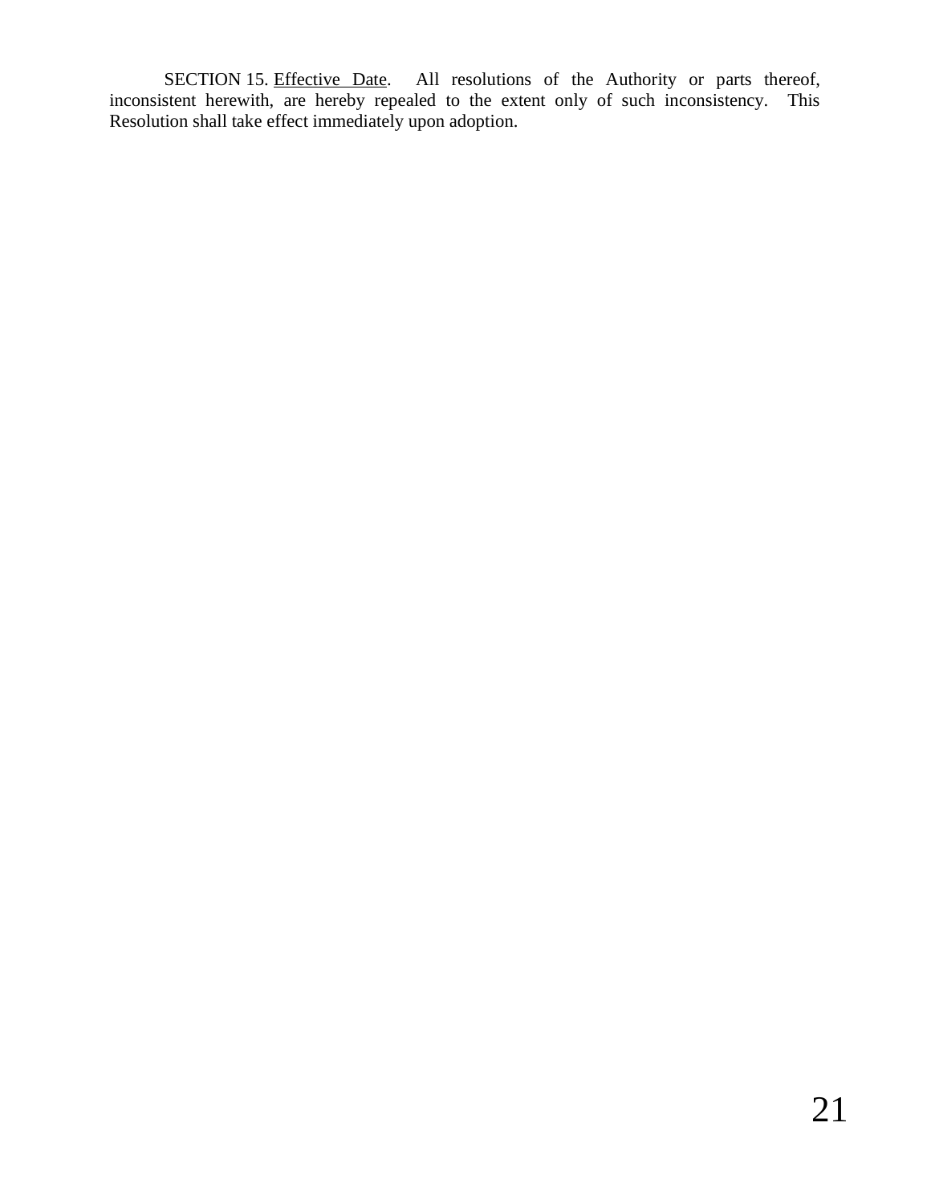SECTION 15. Effective Date. All resolutions of the Authority or parts thereof, inconsistent herewith, are hereby repealed to the extent only of such inconsistency. This Resolution shall take effect immediately upon adoption.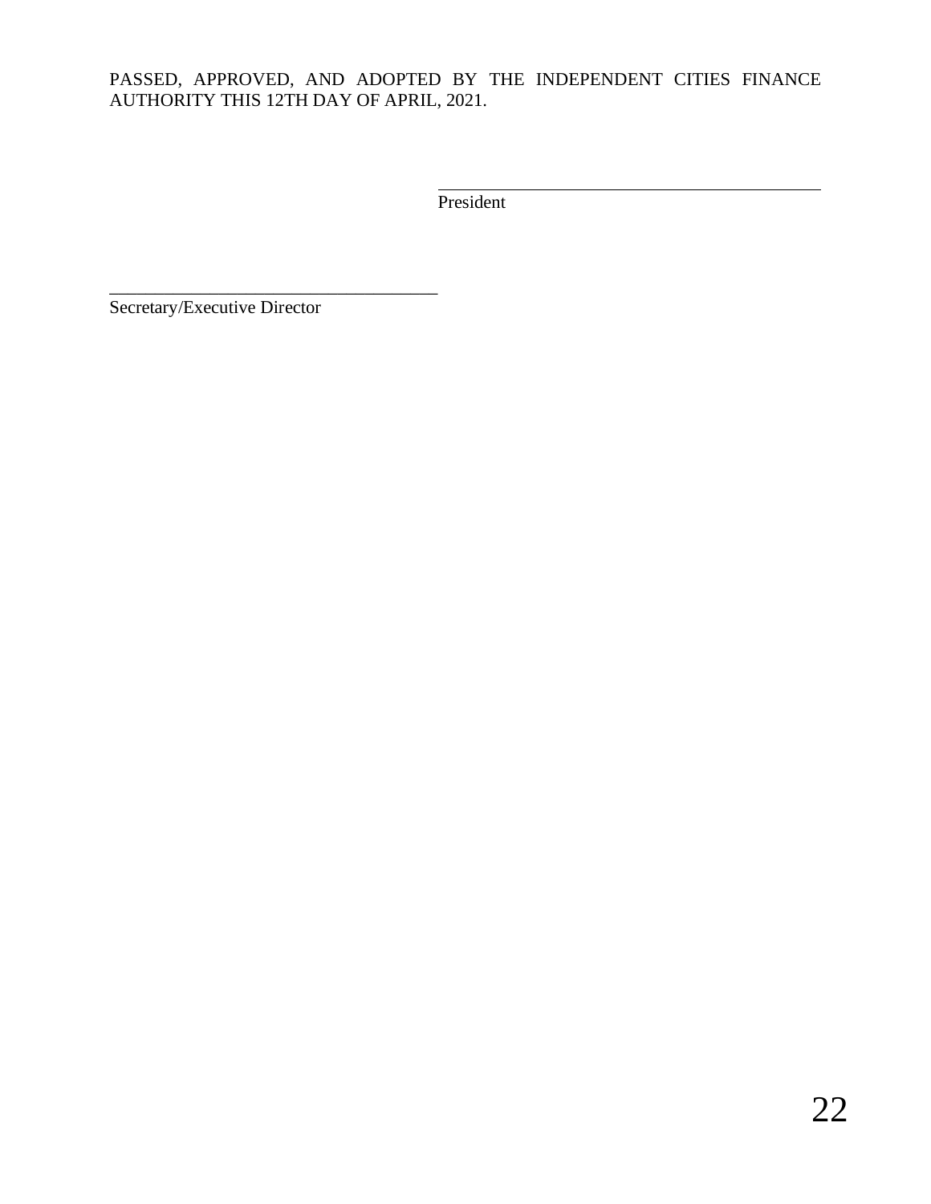# PASSED, APPROVED, AND ADOPTED BY THE INDEPENDENT CITIES FINANCE AUTHORITY THIS 12TH DAY OF APRIL, 2021.

President

Secretary/Executive Director

\_\_\_\_\_\_\_\_\_\_\_\_\_\_\_\_\_\_\_\_\_\_\_\_\_\_\_\_\_\_\_\_\_\_\_\_